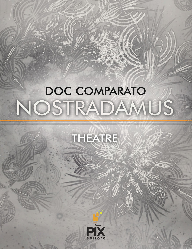# DOC COMPARATO NOSTRADAMUS



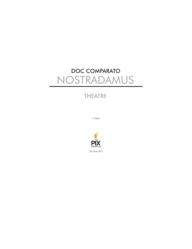# **DOC COMPARATO** NOSTRADAMUS

# **THEATRE**

l<sup>a</sup> edição

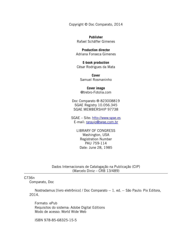Copyright © Doc Comparato, 2014

**Publisher** Rafael Schäffer Gimenes

**Production director** Adriana Fonseca Gimenes

**E-book production** César Rodrigues da Mata

**Cover** Samuel Rosmaninho

**Cover image** @trebro-Fotolia.com

Doc Comparato ® 823008819 SGAE Registry 10.056.345 SGAE MEMBERSHIP 97738

SGAE – Site: [http://www.sgae.es](http://http//www.sgae.es) E-mail: [raraujo@sgae.com.br](mailto:raraujo@sgae.com.br)

> LIBRARY OF CONGRESS Washington, USA Registration Number PAU 759-114 Date: June 28, 1985

Dados Internacionais de Catalogação na Publicação (CIP) (Marcelo Diniz – CRB 13/489)

C736n

Comparato, Doc

Nostradamus [livro eletrônico] / Doc Comparato -- 1. ed. -- São Paulo: Pix Editora, 2014.

Formato: ePub Requisitos do sistema: Adobe Digital Editions Modo de acesso: World Wide Web

ISBN 978-85-68325-15-5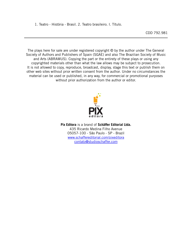1. Teatro - História - Brasil. 2. Teatro brasileiro. I. Título.

The plays here for sale are under registered copyright © by the author under The General Society of Authors and Publishers of Spain (SGAE) and also The Brazilian Society of Music and Arts (ABRAMUS). Copying the part or the entirety of these plays or using any copyrighted materials other than what the law allows may be subject to prosecution. It is not allowed to copy, reproduce, broadcast, display, stage this text or publish them on other web sites without prior written consent from the author. Under no circumstances the material can be used or published, in any way, for commercial or promotional purposes without prior authorization from the author or editor.



**Pix Editora** is a brand of **Schäffer Editorial Ltda.** 435 Ricardo Medina Filho Avenue 05057-100 - São Paulo - SP - Brazil [www.schaffereditorial.com/pixeditora](http://www.schaffereditorial.com/pixeditora) [contato@studioschaffer.com](mailto:contato@studioschaffer.com)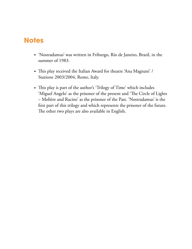# **Notes**

- 'Nostradamus' was written in Friburgo, Rio de Janeiro, Brazil, in the summer of 1983.
- This play received the Italian Award for theatre 'Ana Magnani' / Stazione 2003/2004, Rome, Italy.
- This play is part of the author's 'Trilogy of Time' which includes 'Miguel Angelo' as the prisoner of the present and 'The Circle of Lights – Molière and Racine' as the prisoner of the Past. 'Nostradamus' is the first part of this trilogy and which represents the prisoner of the future. The other two plays are also available in English.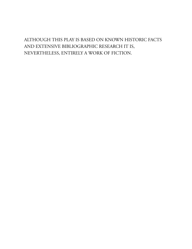# ALTHOUGH THIS PLAY IS BASED ON KNOWN HISTORIC FACTS AND EXTENSIVE BIBLIOGRAPHIC RESEARCH IT IS, NEVERTHELESS, ENTIRELY A WORK OF FICTION.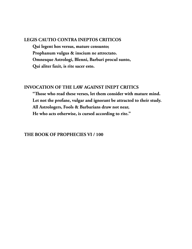#### **LEGIS CAUTIO CONTRA INEPTOS CRITICOS**

**Qui legent hos versus, mature censunto; Prophanum vulgus & inscium ne attrectato. Omnesque Astrologi, Blenni, Barbari procul sunto, Qui aliter faxit, is rite sacer esto.**

# **INVOCATION OF THE LAW AGAINST INEPT CRITICS**

**"ose who read these verses, let them consider with mature mind. Let not the profane, vulgar and ignorant be attracted to their study. All Astrologers, Fools & Barbarians draw not near, He who acts otherwise, is cursed according to rite."**

#### **THE BOOK OF PROPHECIES VI / 100**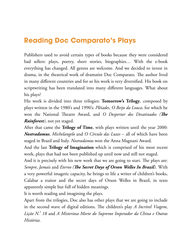# **Reading Doc Comparato's Plays**

Publishers used to avoid certain types of books because they were considered bad sellers: plays, poetry, short stories, biographies… With the e-book everything has changed. All genres are welcome. And we decided to invest in drama, in the theatrical work of dramatist Doc Comparato. The author lived in many different countries and for so his work is very diversified. His book on scriptwriting has been translated into many different languages. What about his plays?

His work is divided into three trilogies: **Tomorrow's Trilogy**, composed by plays written in the 1980's and 1990's: *Plêiades*, *O Beijo da Louca*, for which he won the National Theatre Award, and *O Despertar dos Desatinados* (*The Rainforest)*, not yet staged.

After that came the **Trilogy of Time**, with plays written until the year 2000: *Nostradamus*, *Michelangelo* and *O Círculo das Luzes* – all of which have been staged in Brazil and Italy. *Nostradamus* won the Anna Magnani Award.

And the last **Trilogy of Imagination** which is comprised of his most recent work, plays that had not been published up until now and still not staged.

And it is precisely with his new work that we are going to start. The plays are: *Sempre, Jamais* and *Eterno* (*The Secret Days of Orson Welles In Brazil*). With a very powerful imagetic capacity, he brings to life a writer of children's books, Calabar a traitor and the secret days of Orson Welles in Brazil, in texts apparently simple but full of hidden meanings.

It is worth reading and imagining the plays.

Apart from the trilogies, Doc also has other plays that we are going to include in the second wave of digital editions. The children's play *A Incrivel Viagem*, *Lição N. <sup>º</sup> 18* and *A Misteriosa Morte do Supremo Imperador da China e Outras Histórias.*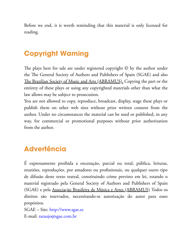Before we end, it is worth reminding that this material is only licensed for reading.

# **Copyright Warning**

The plays here for sale are under registered copyright  $\odot$  by the author under the The General Society of Authors and Publishers of Spain (SGAE) and also The Brazilian Society of Music and Arts (ABRAMUS). Copying the part or the entirety of these plays or using any copyrighted materials other than what the law allows may be subject to prosecution.

You are not allowed to copy, reproduce, broadcast, display, stage these plays or publish them on other web sites without prior written consent from the author. Under no circumstances the material can be used or published, in any way, for commercial or promotional purposes without prior authorization from the author.

# **Advertência**

É expressamente proibida a encenação, parcial ou total, pública, leituras, reuniões, reproduções, por amadores ou profissionais, ou qualquer outro tipo de difusão deste texto teatral, constituindo crime previsto em lei, estando o material registrado pela General Society of Authors and Publishers of Spain (SGAE) e pela Associação Brasileira de Música e Artes (ABRAMUS) Todos os direitos são reservados, necessitando-se autorização do autor para esses propósitos.

SGAE – Site: [http://www.sgae.es](http://www.sgae.es/) E-mail: [raraujo@sgae.com.br](mailto:raraujo@sgae.com.br)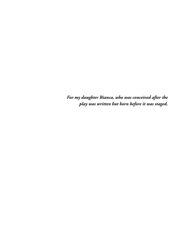*For my daughter Bianca, who was conceived after the play was written but born before it was staged.*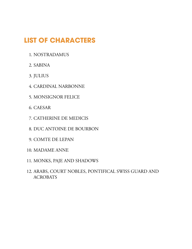# **LIST OF CHARACTERS**

- 1. NOSTRADAMUS
- 2. SABINA
- 3. JULIUS
- 4. CARDINAL NARBONNE
- 5. MONSIGNOR FELICE
- 6. CAESAR
- 7. CATHERINE DE MEDICIS
- 8. DUC ANTOINE DE BOURBON
- 9. COMTE DE LEPAN
- 10. MADAME ANNE
- 11. MONKS, PAJE AND SHADOWS
- 12. ARABS, COURT NOBLES, PONTIFICAL SWISS GUARD AND ACROBATS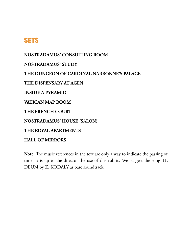# **SETS**

**[NOSTRADAMUS'](#page-23-0) CONSULTING ROOM [NOSTRADAMUS'](#page-39-0) STUDY THE DUNGEON OF CARDINAL [NARBONNE'S](#page-54-0) PALACE THE [DISPENSARY](#page-68-0) AT AGEN INSIDE A [PYRAMID](#page-88-0) [VATICAN](#page-110-0) MAP ROOM THE [FRENCH](#page-121-0) COURT [NOSTRADAMUS'](#page-128-0) HOUSE (SALON)**

**THE ROYAL [APARTMENTS](#page-140-0)**

**HALL OF [MIRRORS](#page-150-0)**

Note: The music references in the text are only a way to indicate the passing of time. It is up to the director the use of this rubric. We suggest the song TE DEUM by Z. KODALY as base soundtrack.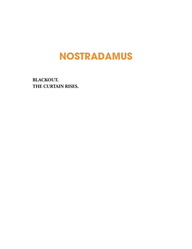# **NOSTRADAMUS**

**BLACKOUT. THE CURTAIN RISES.**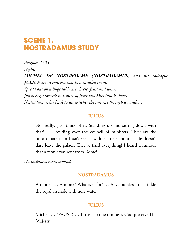# **SCENE 1. NOSTRADAMUS STUDY**

*Avignon 1525. Night. MICHEL DE NOSTREDAME (NOSTRADAMUS) and his colleague JULIUS are in conversation in a candled room. Spread out on a huge table are cheese, fruit and wine. Julius helps himself to a piece of fruit and bites into it. Pause. Nostradamus, his back to us, watches the sun rise through a window.*

#### **JULIUS**

No, really. Just think of it. Standing up and sitting down with that! ... Presiding over the council of ministers. They say the unfortunate man hasn't seen a saddle in six months. He doesn't dare leave the palace. They've tried everything! I heard a rumour that a monk was sent from Rome!

*Nostradamus turns around.*

#### **NOSTRADAMUS**

A monk? … A monk? Whatever for? … Ah, doubtless to sprinkle the royal arsehole with holy water.

#### **JULIUS**

Michel! … (PAUSE) … I trust no one can hear. God preserve His Majesty.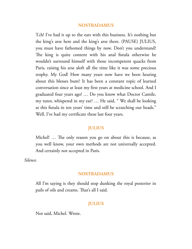#### **NOSTRADAMUS**

Tch! I've had it up to the ears with this business. It's nothing but the king's arse here and the king's arse there. (PAUSE) JULIUS, you must have fathomed things by now. Don't you understand? The king is quite content with his anal fistula otherwise he wouldn't surround himself with those incompetent quacks from Paris, raising his arse aloft all the time like it was some precious trophy. My God! How many years now have we been hearing about this blesses bum? It has been a constant topic of learned conversation since at least my first years at medicine school. And I graduated four years ago! … Do you know what Doctor Camile, my tutor, whispered in my ear? … He said, " We shall be looking at this fistula in ten years' time and still be scratching our heads." Well, I've had my certificate these last four years.

#### **JULIUS**

Michel! ... The only reason you go on about this is because, as you well know, your own methods are not universally accepted. And certainly not accepted in Paris.

*Silence.*

#### **NOSTRADAMUS**

All I'm saying is they should stop dunking the royal posterior in pails of oils and creams. That's all I said.

#### **JULIUS**

Not said, Michel. Wrote.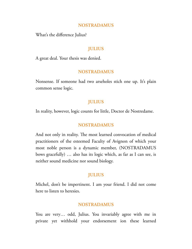#### **NOSTRADAMUS**

What's the difference Julius?

#### **JULIUS**

A great deal. Your thesis was denied.

#### **NOSTRADAMUS**

Nonsense. If someone had two arseholes stich one up. It's plain common sense logic.

#### **JULIUS**

In reality, however, logic counts for little, Doctor de Nostredame.

#### **NOSTRADAMUS**

And not only in reality. The most learned convocation of medical practitioners of the esteemed Faculty of Avignon of which your most noble person is a dynamic member, (NOSTRADAMUS bows gracefully) … also has its logic which, as far as I can see, is neither sound medicine nor sound biology.

#### **JULIUS**

Michel, don't be impertinent. I am your friend. I did not come here to listen to heresies.

#### **NOSTRADAMUS**

You are very… odd, Julius. You invariably agree with me in private yet withhold your endorsement ion these learned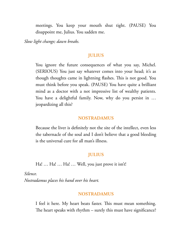meetings. You keep your mouth shut tight. (PAUSE) You disappoint me, Julius. You sadden me.

*Slow light change; dawn breaks.*

#### **JULIUS**

You ignore the future consequences of what you say, Michel. (SERIOUS) You just say whatever comes into your head; it's as though thoughts came in lightning flashes. This is not good. You must think before you speak. (PAUSE) You have quite a brilliant mind as a doctor with a not impressive list of wealthy patients. You have a delightful family. Now, why do you persist in … jeopardizing all this?

#### **NOSTRADAMUS**

Because the liver is definitely not the site of the intellect, even less the tabernacle of the soul and I don't believe that a good bleeding is the universal cure for all man's illness.

#### **JULIUS**

Ha! … Ha! … Ha! … Well, you just prove it isn't!

*Silence. Nostradamus places his hand over his heart.*

#### **NOSTRADAMUS**

I feel it here. My heart beats faster. This must mean something. The heart speaks with rhythm  $-$  surely this must have significance?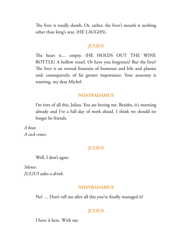The liver is totally dumb. Or, rather, the liver's mouth is nothing other than king's arse. (HE LAUGHS).

#### **JULIUS**

The heart is... empty. (HE HOLDS OUT THE WINE BOTTLE) A hollow vessel. Or have you forgotten? But the liver! The liver is an eternal fountain of humours and bile and plasma and, consequently, of far greater importance. Your anatomy is wanting, my dear Michel.

#### **NOSTRADAMUS**

I'm tires of all this, Julius. You are boring me. Besides, it's morning already and I've a full day of work ahead. I think we should no longer be friends.

*A beat. A cock crows.*

#### **JULIUS**

Well, I don't agree.

*Silence. JULIUS takes a drink.*

#### **NOSTRADAMUS**

No! … Don't tell me after all this you've finally managed it?

#### **JULIUS**

I have it here. With me.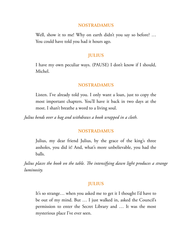#### **NOSTRADAMUS**

Well, show it to me! Why on earth didn't you say so before? ... You could have told you had it hours ago.

#### **JULIUS**

I have my own peculiar ways. (PAUSE) I don't know if I should, Michel.

#### **NOSTRADAMUS**

Listen. I've already told you. I only want a loan, just to copy the most important chapters. You'll have it back in two days at the most. I shan't breathe a word to a living soul.

*Julius bends over a bag and withdraws a book wrapped in a cloth.*

#### **NOSTRADAMUS**

Julius, my dear friend Julius, by the grace of the king's three assholes, you did it! And, what's more unbelievable, you had the balls.

*Julius places the book on the table. e intensifying dawn light produces a strange luminosity.*

#### **JULIUS**

It's so strange… when you asked me to get it I thought I'd have to be out of my mind. But … I just walked in, asked the Council's permission to enter the Secret Library and … It was the most mysterious place I've ever seen.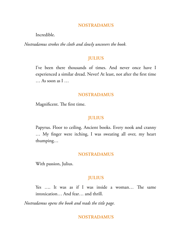#### **NOSTRADAMUS**

Incredible.

*Nostradamus strokes the cloth and slowly uncovers the book.*

#### **JULIUS**

I've been there thousands of times. And never once have I experienced a similar dread. Never! At least, not after the first time … As soon as I …

#### **NOSTRADAMUS**

Magnificent. The first time.

#### **JULIUS**

Papyrus. Floor to ceiling. Ancient books. Every nook and cranny … My finger were itching, I was sweating all over, my heart thumping…

#### **NOSTRADAMUS**

With passion, Julius.

### **JULIUS**

Yes .... It was as if I was inside a woman... The same intoxication… And fear… and thrill.

*Nostradamus opens the book and reads the title page.*

#### **NOSTRADAMUS**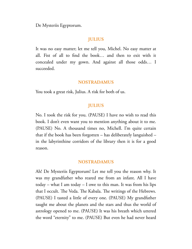De Mysteriis Egyptorum.

# **JULIUS**

It was no easy matter; let me tell you, Michel. No easy matter at all. Fist of all to find the book… and then to exit with it concealed under my gown. And against all those odds… I succeeded.

#### **NOSTRADAMUS**

You took a great risk, Julius. A risk for both of us.

#### **JULIUS**

No. I took the risk for you. (PAUSE) I have no wish to read this book. I don't even want you to mention anything about it to me. (PAUSE) No. A thousand times no, Michell. I'm quite certain that if the book has been forgotten – has deliberately languished – in the labyrinthine corridors of the library then it is for a good reason.

#### **NOSTRADAMUS**

Ah! De Mysteriis Egyptorum! Let me tell you the reason why. It was my grandfather who reared me from an infant. All I have today – what I am today – I owe to this man. It was from his lips that I occult. The Veda. The Kabala. The writings of the Hebrews. (PAUSE) I tasted a little of every one. (PAUSE) My grandfather taught me about the planets and the stars and thus the world of astrology opened to me. (PAUSE) It was his breath which uttered the word "eternity" to me. (PAUSE) But even he had never heard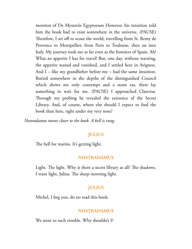mention of De Mysteriis Egyptorum However, his intuition told him the book had to exist somewhere in the universe. (PAUSE) Therefore, I set off to scour the world, travelling from St. Remy de Provence to Montpellier, from Paris to Toulouse, then on into Italy. My journey took me as far even as the frontiers of Spain. Ah! What an appetite I has for travel! But, one day, without warning, the appetite waned and vanished, and I settled here in Avignon. And I – like my grandfather before me – had the same intuition. Buried somewhere in the depths of the distinguished Council which shows me only contempt and a stone ear, there lay something in wait for me. (PAUSE) I approached Clauvius. Through my probing he revealed the existence of the Secret Library. And, of course, where else should I expect to find the book than here, right under my very nose?

*Nostradamus moves closer to the book. A bell is rung.*

#### **JULIUS**

The bell for matins. It's getting light.

#### **NOSTRADAMUS**

Light. The light. Why is there a secret library at all? The shadows. I want light, Julius. The sharp morning light.

# **JULIUS**

Michel, I beg you, do no read this book.

#### **NOSTRADAMUS**

We went to such trouble. Why shouldn't I?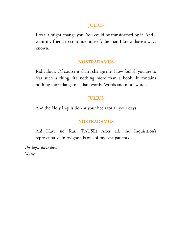#### **JULIUS**

I fear it might change you. You could be transformed by it. And I want my friend to continue himself; the man I know, have always known.

#### **NOSTRADAMUS**

Ridiculous. Of course it shan't change me. How foolish you are to fear such a thing. It's nothing more than a book. It contains nothing more dangerous than words. Words and more words.

#### **JULIUS**

And the Holy Inquisition at your heels for all your days.

#### **NOSTRADAMUS**

Ah! Have no fear. (PAUSE) After all, the Inquisition's representative in Avignon is one of my best patients.

*e light dwindles. Music.*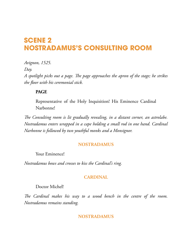# <span id="page-23-0"></span>**SCENE 2 NOSTRADAMUS'S CONSULTING ROOM**

*Avignon, 1525.*

*Day.*

*A spotlight picks out a page. e page approaches the apron of the stage; he strikes the floor with his ceremonial stick.*

# **PAGE**

Representative of the Holy Inquisition! His Eminence Cardinal Narbonne!

*e Consulting room is lit gradually revealing, in a distant corner, an astrolabe. Nostradamus enters wrapped in a cape holding a small rod in one hand. Cardinal Narbonne is followed by two youthful monks and a Monsignor.*

# **NOSTRADAMUS**

Your Eminence!

*Nostradamus bows and crosses to kiss the Cardinal's ring.*

# **CARDINAL**

# Doctor Michel!

*e Cardinal makes his way to a wood bench in the centre of the room. Nostradamus remains standing.*

# **NOSTRADAMUS**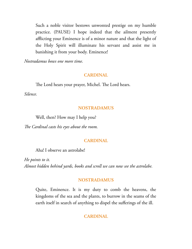Such a noble visitor bestows unwonted prestige on my humble practice. (PAUSE) I hope indeed that the ailment presently afflicting your Eminence is of a minor nature and that the light of the Holy Spirit will illuminate his servant and assist me in banishing it from your body. Eminence!

*Nostradamus bows one more time.*

#### **CARDINAL**

The Lord hears your prayer, Michel. The Lord hears.

*Silence.*

#### **NOSTRADAMUS**

Well, then? How may I help you?

*e Cardinal casts his eyes about the room.*

# **CARDINAL**

Aha! I observe an astrolabe!

*He points to it. Almost hidden behind yards, books and scroll we can now see the astrolabe.*

# **NOSTRADAMUS**

Quite, Eminence. It is my duty to comb the heavens, the kingdoms of the sea and the plants, to burrow in the seams of the earth itself in search of anything to dispel the sufferings of the ill.

# **CARDINAL**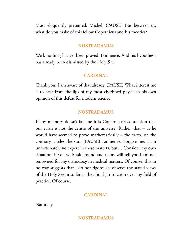Most eloquently presented, Michel. (PAUSE) But between us, what do you make of this fellow Copernicus and his theories?

#### **NOSTRADAMUS**

Well, nothing has yet been proved, Eminence. And his hypothesis has already been dismissed by the Holy See.

#### **CARDINAL**

Thank you. I am aware of that already. (PAUSE) What interest me is to hear from the lips of my most cherished physician his own opinion of this defeat for modern science.

#### **NOSTRADAMUS**

If my memory doesn't fail me it is Copernicus's contention that our earth is not the centre of the universe. Rather, that – as he would have seemed to prove mathematically – the earth, on the contrary, circles the sun. (PAUSE) Eminence. Forgive me; I am unfortunately no expert in these matters, but… Consider my own situation, if you will: ask around and many will tell you I am not renowned for my orthodoxy in medical matters. Of course, this in no way suggests that I do not rigorously observe the stated views of the Holy See in so far as they hold jurisdiction over my field of practice. Of course.

#### **CARDINAL**

Naturally.

#### **NOSTRADAMUS**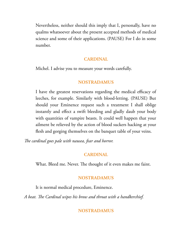Nevertheless, neither should this imply that I, personally, have no qualms whatsoever about the present accepted methods of medical science and some of their applications. (PAUSE) For I do in some number.

#### **CARDINAL**

Michel. I advise you to measure your words carefully.

#### **NOSTRADAMUS**

I have the greatest reservations regarding the medical efficacy of leeches, for example. Similarly with blood-letting. (PAUSE) But should your Eminence request such a treatment I shall oblige instantly and effect a swift bleeding and gladly daub your body with quantities of vampire beasts. It could well happen that your ailment be relieved by the action of blood suckers hacking at your flesh and gorging themselves on the banquet table of your veins.

*e cardinal goes pale with nausea, fear and horror.*

#### **CARDINAL**

What. Bleed me. Never. The thought of it even makes me faint.

#### **NOSTRADAMUS**

It is normal medical procedure, Eminence.

A beat. The Cardinal wipes his brow and throat with a handkerchief.

#### **NOSTRADAMUS**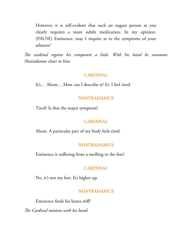However, it is self-evident that such an august person as you clearly requires a more subtle medication. In my opinion. (PAUSE) Eminence, may I inquire as to the symptoms of your ailment?

*e cardinal regains his composure a little. With his hand he summons Nostradamus closer to him.*

#### **CARDINAL**

It's… Ahem… How can I describe it? Er. I feel tired.

#### **NOSTRADAMUS**

Tired? Is that the major symptom?

#### **CARDINAL**

Ahem. A particular part of my body feels tired.

#### **NOSTRADAMUS**

Eminence is suffering from a swelling in the feet?

#### **CARDINAL**

No, it's not my feet. It's higher up.

#### **NOSTRADAMUS**

Eminence finds his knees stiff?

*e Cardinal motions with his hand.*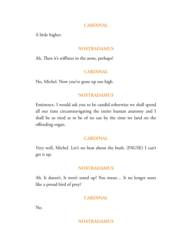### **CARDINAL**

A little higher.

# **NOSTRADAMUS**

Ah. Then it's stiffness in the arms, perhaps?

# **CARDINAL**

No, Michel. Now you've gone up too high.

# **NOSTRADAMUS**

Eminence. I would ask you to be candid otherwise we shall spend all our time circumnavigating the entire human anatomy and I shall be so tired as to be of no use by the time we land on the offending organ.

# **CARDINAL**

Very well, Michel. Let's no beat about the bush. (PAUSE) I can't get it up.

# **NOSTRADAMUS**

Ah. It doesn't. It won't stand up? You mean… It no longer soars like a proud bird of prey?

# **CARDINAL**

No.

# **NOSTRADAMUS**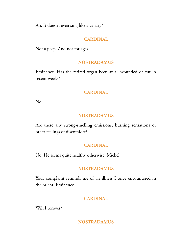Ah. It doesn't even sing like a canary?

# **CARDINAL**

Not a peep. And not for ages.

# **NOSTRADAMUS**

Eminence. Has the retired organ been at all wounded or cut in recent weeks?

# **CARDINAL**

No.

# **NOSTRADAMUS**

Are there any strong-smelling emissions, burning sensations or other feelings of discomfort?

# **CARDINAL**

No. He seems quite healthy otherwise, Michel.

# **NOSTRADAMUS**

Your complaint reminds me of an illness I once encountered in the orient, Eminence.

# **CARDINAL**

Will I recover?

# **NOSTRADAMUS**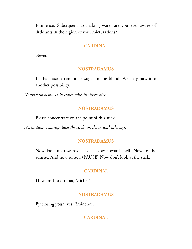Eminence. Subsequent to making water are you ever aware of little ants in the region of your micturations?

#### **CARDINAL**

Never.

#### **NOSTRADAMUS**

In that case it cannot be sugar in the blood. We may pass into another possibility.

*Nostradamus moves in closer with his little stick.*

#### **NOSTRADAMUS**

Please concentrate on the point of this stick.

*Nostradamus manipulates the stick up, down and sideways.*

#### **NOSTRADAMUS**

Now look up towards heaven. Now towards hell. Now to the sunrise. And now sunset. (PAUSE) Now don't look at the stick.

#### **CARDINAL**

How am I to do that, Michel?

#### **NOSTRADAMUS**

By closing your eyes, Eminence.

#### **CARDINAL**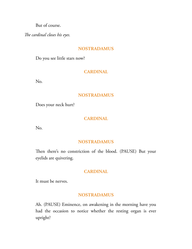But of course.

*e cardinal closes his eyes.*

# **NOSTRADAMUS**

Do you see little stars now?

# **CARDINAL**

No.

# **NOSTRADAMUS**

Does your neck hurt?

# **CARDINAL**

No.

# **NOSTRADAMUS**

Then there's no constriction of the blood. (PAUSE) But your eyelids are quivering.

# **CARDINAL**

It must be nerves.

# **NOSTRADAMUS**

Ah. (PAUSE) Eminence, on awakening in the morning have you had the occasion to notice whether the resting organ is ever upright?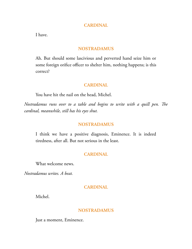#### **CARDINAL**

I have.

#### **NOSTRADAMUS**

Ah. But should some lascivious and perverted hand seize him or some foreign orifice officer to shelter him, nothing happens; is this correct?

#### **CARDINAL**

You have hit the nail on the head, Michel.

*Nostradamus runs over to a table and begins to write with a quill pen. The cardinal, meanwhile, still has his eyes shut.*

#### **NOSTRADAMUS**

I think we have a positive diagnosis, Eminence. It is indeed tiredness, after all. But not serious in the least.

#### **CARDINAL**

What welcome news.

*Nostradamus writes. A beat.*

#### **CARDINAL**

Michel.

#### **NOSTRADAMUS**

Just a moment, Eminence.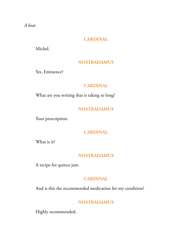*A beat.*

# **CARDINAL**

Michel.

# **NOSTRADAMUS**

Yes, Eminence?

# **CARDINAL**

What are you writing that is taking so long?

# **NOSTRADAMUS**

Your prescription.

# **CARDINAL**

What is it?

# **NOSTRADAMUS**

A recipe for quince jam.

# **CARDINAL**

And is this the recommended medication for my condition?

# **NOSTRADAMUS**

Highly recommended.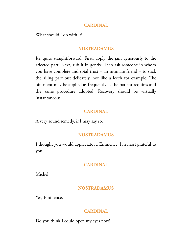#### **CARDINAL**

What should I do with it?

# **NOSTRADAMUS**

It's quite straightforward. First, apply the jam generously to the affected part. Next, rub it in gently. Then ask someone in whom you have complete and total trust – an intimate friend – to suck the ailing part but delicately, not like a leech for example. The ointment may be applied as frequently as the patient requires and the same procedure adopted. Recovery should be virtually instantaneous.

#### **CARDINAL**

A very sound remedy, if I may say so.

# **NOSTRADAMUS**

I thought you would appreciate it, Eminence. I'm most grateful to you.

# **CARDINAL**

Michel.

# **NOSTRADAMUS**

Yes, Eminence.

# **CARDINAL**

Do you think I could open my eyes now?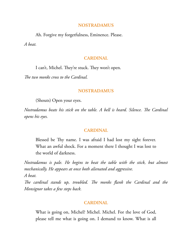#### **NOSTRADAMUS**

Ah. Forgive my forgetfulness, Eminence. Please. *A beat.*

#### **CARDINAL**

I can't, Michel. They're stuck. They won't open.

*e two monks cross to the Cardinal.*

#### **NOSTRADAMUS**

(Shouts) Open your eyes.

*Nostradamus beats his stick on the table. A bell is heard. Silence. The Cardinal opens his eyes.*

#### **CARDINAL**

Blessed be Thy name. I was afraid I had lost my sight forever. What an awful shock. For a moment there I thought I was lost to the world of darkness.

*Nostradamus is pale. He begins to beat the table with the stick, but almost mechanically. He appears at once both alienated and aggressive. A beat.*

*Fhe cardinal stands up, troubled. The monks flank the Cardinal and the Monsignor takes a few steps back.*

#### **CARDINAL**

What is going on, Michel? Michel. Michel. For the love of God, please tell me what is going on. I demand to know. What is all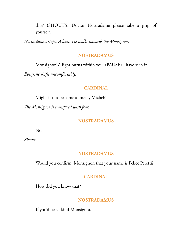this? (SHOUTS) Doctor Nostradame please take a grip of yourself.

*Nostradamus stops. A beat. He walks towards the Monsignor.*

#### **NOSTRADAMUS**

Monsignor! A light burns within you. (PAUSE) I have seen it.

*Everyone shifts uncomfortably.*

#### **CARDINAL**

Might it not be some ailment, Michel? *e Monsignor is transfixed with fear.*

#### **NOSTRADAMUS**

No.

*Silence.*

#### **NOSTRADAMUS**

Would you confirm, Monsignor, that your name is Felice Peretti?

### **CARDINAL**

How did you know that?

#### **NOSTRADAMUS**

If you'd be so kind Monsignor.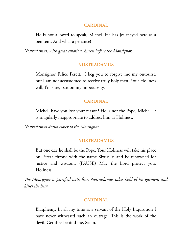## **CARDINAL**

He is not allowed to speak, Michel. He has journeyed here as a penitent. And what a penance!

*Nostradamus, with great emotion, kneels before the Monsignor.*

## **NOSTRADAMUS**

Monsignor Felice Peretti, I beg you to forgive me my outburst, but I am not accustomed to receive truly holy men. Your Holiness will, I'm sure, pardon my impetuosity.

## **CARDINAL**

Michel, have you lost your reason? He is not the Pope, Michel. It is singularly inappropriate to address him as Holiness.

*Nostradamus draws closer to the Monsignor.*

## **NOSTRADAMUS**

But one day he shall be the Pope. Your Holiness will take his place on Peter's throne with the name Sixtus V and be renowned for justice and wisdom. (PAUSE) May the Lord protect you, Holiness.

*e Monsignor is petrified with fear. Nostradamus takes hold of his garment and kisses the hem.*

#### **CARDINAL**

Blasphemy. In all my time as a servant of the Holy Inquisition I have never witnessed such an outrage. This is the work of the devil. Get thee behind me, Satan.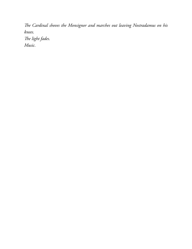*e Cardinal shoves the Monsignor and marches out leaving Nostradamus on his knees. e light fades. Music.*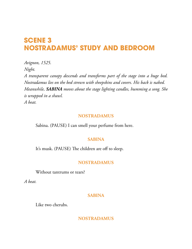# **SCENE 3 NOSTRADAMUS' STUDY AND BEDROOM**

*Avignon, 1525. Night.*

*A transparent canopy descends and transforms part of the stage into a huge bed. Nostradamus lies on the bed strewn with sheepskins and covers. His back is naked. Meanwhile, SABINA moves about the stage lighting candles, humming a song. She is wrapped in a shawl. A beat.*

### **NOSTRADAMUS**

Sabina. (PAUSE) I can smell your perfume from here.

## **SABINA**

It's musk. (PAUSE) The children are off to sleep.

## **NOSTRADAMUS**

Without tantrums or tears?

*A beat.*

#### **SABINA**

Like two cherubs.

**NOSTRADAMUS**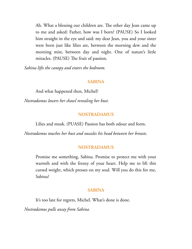Ah. What a blessing our children are. The other day Jean came up to me and asked: Father, how was I born? (PAUSE) So I looked him straight in the eye and said: my dear Jean, you and your sister were born just like lilies are, between the morning dew and the morning mist, between day and night. One of nature's little miracles. (PAUSE) The fruit of passion.

*Sabina lifts the canopy and enters the bedroom.*

### **SABINA**

And what happened then, Michel?

*Nostradamus lowers her shawl revealing her bust.*

### **NOSTRADAMUS**

Lilies and musk. (PUASE) Passion has both odour and form.

*Nostradamus touches her bust and nuzzles his head between her breasts.*

## **NOSTRADAMUS**

Promise me something, Sabina. Promise to protect me with your warmth and with the frenzy of your heart. Help me to lift this cursed weight, which presses on my soul. Will you do this for me, Sabina?

#### **SABINA**

It's too late for regrets, Michel. What's done is done.

*Nostradamus pulls away from Sabina.*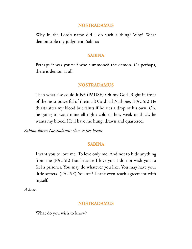Why in the Lord's name did I do such a thing? Why? What demon stole my judgment, Sabina?

#### **SABINA**

Perhaps it was yourself who summoned the demon. Or perhaps, there is demon at all.

#### **NOSTRADAMUS**

Then what else could it be? (PAUSE) Oh my God. Right in front of the most powerful of them all! Cardinal Narbone. (PAUSE) He thirsts after my blood but faints if he sees a drop of his own. Oh, he going to want mine all right; cold or hot, weak or thick, he wants my blood. He'll have me hung, drawn and quartered.

*Sabina draws Nostradamus close to her breast.*

#### **SABINA**

I want you to love me. To love only me. And not to hide anything from me (PAUSE) But because I love you I do not wish you to feel a prisoner. You may do whatever you like. You may have your little secrets. (PAUSE) You see? I can't even reach agreement with myself.

*A beat.*

#### **NOSTRADAMUS**

What do you wish to know?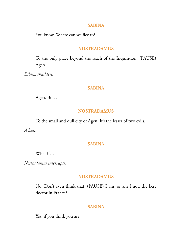#### **SABINA**

You know. Where can we flee to?

#### **NOSTRADAMUS**

To the only place beyond the reach of the Inquisition. (PAUSE) Agen.

*Sabina shudders.*

## **SABINA**

Agen. But…

## **NOSTRADAMUS**

To the small and dull city of Agen. It's the lesser of two evils.

*A beat.*

## **SABINA**

What if…

*Nostradamus interrupts.*

### **NOSTRADAMUS**

No. Don't even think that. (PAUSE) I am, or am I not, the best doctor in France?

#### **SABINA**

Yes, if you think you are.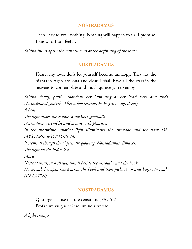Then I say to you: nothing. Nothing will happen to us. I promise. I know it, I can feel it.

*Sabina hums again the same tune as at the beginning of the scene.*

## **NOSTRADAMUS**

Please, my love, don't let yourself become unhappy. They say the nights in Agen are long and clear. I shall have all the stars in the heavens to contemplate and much quince jam to enjoy.

*Sabina slowly, gently, abandons her humming as her head seeks and finds Nostradamus' genitals. After a few seconds, he begins to sigh deeply. A beat. e light above the couple diminishes gradually. Nostradamus trembles and moans with pleasure. In the meantime, another light illuminates the astrolabe and the book DE MYSTERIS EGYPTORUM. It seems as though the objects are glowing. Nostradamus climaxes.* The light on the bed is lost. *Music. Nostradamus, in a shawl, stands beside the astrolabe and the book. He spreads his open hand across the book and then picks it up and begins to read.*

*(IN LATIN)*

# **NOSTRADAMUS**

Quo legent hoxe mature censunto. (PAUSE) Profanum vulgus et inscium ne attretato.

*A light change.*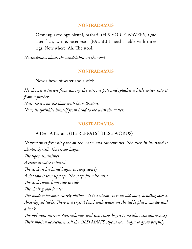Omnesq; astrology blenni, barbari. (HIS VOICE WAVERS) Que alter facit, is rite, sacer esto. (PAUSE) I need a table with three legs. Now where. Ah. The stool.

*Nostradamus places the candelabra on the stool.*

### **NOSTRADAMUS**

Now a bowl of water and a stick.

*He chooses a tureen from among the various pots and splashes a little water into it from a pitcher. Next, he sits on the floor with his collection. Now, he sprinkles himself from head to toe with the water.*

#### **NOSTRADAMUS**

#### A Deo. A Natura. (HE REPEATS THESE WORDS)

*Nostradamus* fixes his gaze on the water and concentrates. The stick in his hand is *absolutely still. The ritual begins. e light diminishes. A choir of voice is heard.* The stick in his hand begins to sway slowly. *A shadow is seen upstage. The stage fill with mist. e stick sways from side to side.* The choir grows louder. *e shadow becomes clearly visible – it is a vision. It is an old man, bending over a three-legged table. There is a crystal bowl with water on the table plus a candle and a book. e old man mirrors Nostradamus and two sticks begin to oscillate simultaneously.* Their motion accelerates. All the OLD MAN'S objects now begin to grow brightly.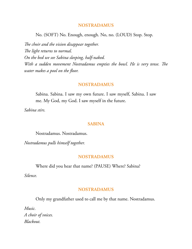No. (SOFT) No. Enough, enough. No, no. (LOUD) Stop. Stop.

The choir and the vision disappear together. The light returns to normal. *On the bed we see Sabina sleeping, half-naked. With* a sudden movement Nostradamus empties the bowl. He is very tense. The *water makes a pool on the floor.*

#### **NOSTRADAMUS**

Sabina. Sabina. I saw my own future. I saw myself, Sabina. I saw me. My God, my God. I saw myself in the future.

*Sabina stirs.*

#### **SABINA**

Nostradamus. Nostradamus.

*Nostradamus pulls himself together.*

#### **NOSTRADAMUS**

Where did you hear that name? (PAUSE) Where? Sabina?

*Silence.*

#### **NOSTRADAMUS**

Only my grandfather used to call me by that name. Nostradamus.

*Music. A choir of voices. Blackout.*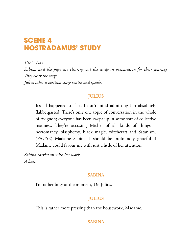# **SCENE 4 NOSTRADAMUS' STUDY**

*1525. Day.*

*Sabina and the page are clearing out the study in preparation for their journey.* They clear the stage.

*Julius takes a position stage centre and speaks.*

# **JULIUS**

It's all happened so fast. I don't mind admitting I'm absolutely flabbergasted. There's only one topic of conversation in the whole of Avignon; everyone has been swept up in some sort of collective madness. They're accusing Michel of all kinds of things – necromancy, blasphemy, black magic, witchcraft and Satanism. (PAUSE) Madame Sabina. I should be profoundly grateful if Madame could favour me with just a little of her attention.

*Sabina carries on with her work. A beat.*

# **SABINA**

I'm rather busy at the moment, Dr. Julius.

# **JULIUS**

This is rather more pressing than the housework, Madame.

# **SABINA**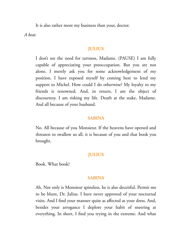It is also rather more my business than your, doctor.

*A beat.*

## **JULIUS**

I don't see the need for tartness, Madame. (PAUSE) I am fully capable of appreciating your preoccupation. But you are not alone. I merely ask you for some acknowledgement of my position. I have exposed myself by coming here to lend my support to Michel. How could I do otherwise? My loyalty to my friends is renowned. And, in return, I am the object of discourtesy. I am risking my life. Death at the stake, Madame. And all because of your husband.

#### **SABINA**

No. All because of you Monsieur. If the heavens have opened and threaten to swallow us all, it is because of you and that book you brought.

## **JULIUS**

Book. What book?

#### **SABINA**

Ah. Not only is Monsieur spineless, he is also deceitful. Permit me to be blunt, Dr. Julius. I have never approved of your nocturnal visits. And I find your manner quite as affected as your dress. And, besides your arrogance I deplore your habit of sneering at everything. In short, I find you trying in the extreme. And what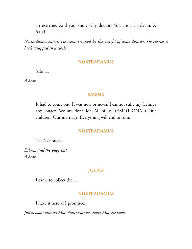an extreme. And you know why doctor? You are a charlatan. A fraud.

*Nostradamus enters. He seems crushed by the weight of some disaster. He carries a book wrapped in a cloth.*

#### **NOSTRADAMUS**

Sabina.

*A beat.*

## **SABINA**

It had to come out. It was now or never. I cannot stifle my feelings any longer. We are done for. All of us. (EMOTIONAL) Our children. Our marriage. Everything will end in ruin.

#### **NOSTRADAMUS**

That's enough.

*Sabina and the page exit. A beat.*

## **JULIUS**

I came to collect the…

#### **NOSTRADAMUS**

I have it here as I promised.

*Julius looks around him. Nostradamus shows him the book.*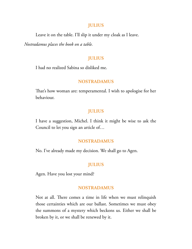#### **JULIUS**

Leave it on the table. I'll slip it under my cloak as I leave.

*Nostradamus places the book on a table.*

## **JULIUS**

I had no realized Sabina so disliked me.

#### **NOSTRADAMUS**

That's how woman are: temperamental. I wish to apologise for her behaviour.

## **JULIUS**

I have a suggestion, Michel. I think it might be wise to ask the Council to let you sign an article of…

#### **NOSTRADAMUS**

No. I've already made my decision. We shall go to Agen.

## **JULIUS**

Agen. Have you lost your mind?

#### **NOSTRADAMUS**

Not at all. There comes a time in life when we must relinquish those certainties which are our ballast. Sometimes we must obey the summons of a mystery which beckons us. Either we shall be broken by it, or we shall be renewed by it.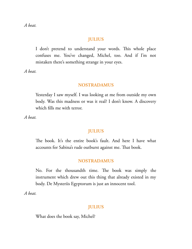*A beat.*

## **JULIUS**

I don't pretend to understand your words. This whole place confuses me. You've changed, Michel, too. And if I'm not mistaken there's something strange in your eyes.

*A beat.*

## **NOSTRADAMUS**

Yesterday I saw myself. I was looking at me from outside my own body. Was this madness or was it real? I don't know. A discovery which fills me with terror.

*A beat.*

## **JULIUS**

The book. It's the entire book's fault. And here I have what accounts for Sabina's rude outburst against me. That book.

## **NOSTRADAMUS**

No. For the thousandth time. The book was simply the instrument which drew out this thing that already existed in my body. De Mysteriis Egyptorum is just an innocent tool.

*A beat.*

## **JULIUS**

What does the book say, Michel?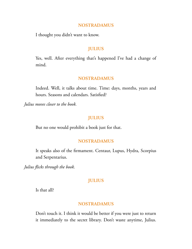I thought you didn't want to know.

## **JULIUS**

Yes, well. After everything that's happened I've had a change of mind.

#### **NOSTRADAMUS**

Indeed. Well, it talks about time. Time: days, months, years and hours. Seasons and calendars. Satisfied?

*Julius moves closer to the book.*

## **JULIUS**

But no one would prohibit a book just for that.

#### **NOSTRADAMUS**

It speaks also of the firmament. Centaur, Lupus, Hydra, Scorpius and Serpentarius.

*Julius flicks through the book.*

## **JULIUS**

Is that all?

### **NOSTRADAMUS**

Don't touch it. I think it would be better if you were just to return it immediately to the secret library. Don't waste anytime, Julius.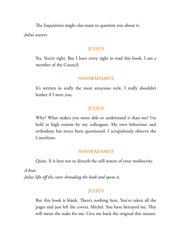The Inquisition might also want to question you about it.

*Julius wavers.*

## **JULIUS**

Yes. You're right. But I have every right to read this book. I am a member of the Council.

## **NOSTRADAMUS**

It's written in really the most atrocious style. I really shouldn't bother if I were you.

## **JULIUS**

Why? What makes you more able to understand it than me? I'm held in high esteem by my colleagues. My own behaviour and orthodoxy has never been questioned. I scrupulously observe the Catechism.

#### **NOSTRADAMUS**

Quite. It is best not to disturb the still waters of your mediocrity.

*A beat. Julius lifts off the cover shrouding the book and opens it.*

## **JULIUS**

But this book is blank. There's nothing here. You've taken all the pages and just left the covers. Michel. You have betrayed me. This will mean the stake for me. Give me back the original this instant.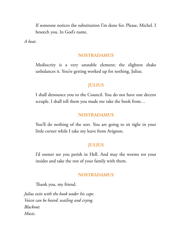If someone notices the substitution I'm done for. Please, Michel. I beseech you. In God's name.

*A beat.*

#### **NOSTRADAMUS**

Mediocrity is a very unstable element; the slightest shake unbalances it. You're getting worked up for nothing, Julius.

## **JULIUS**

I shall denounce you to the Council. You do not have one decent scruple. I shall tell them you made me take the book from…

### **NOSTRADAMUS**

You'll do nothing of the sort. You are going to sit tight in your little corner while I take my leave from Avignon.

## **JULIUS**

I'd sooner see you perish in Hell. And may the worms rot your insides and take the rest of your family with them.

#### **NOSTRADAMUS**

Thank you, my friend.

*Julius exits with the book under his cape. Voices can be heard: wailing and crying. Blackout. Music.*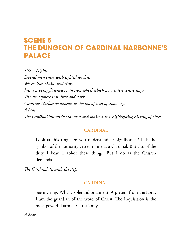# **SCENE 5 THE DUNGEON OF CARDINAL NARBONNE'S PALACE**

*1525, Night. Several men enter with lighted torches. We see iron chains and rings. Julius is being fastened to an iron wheel which now enters centre stage. e atmosphere is sinister and dark. Cardinal Narbonne appears at the top of a set of stone steps. A beat. e Cardinal brandishes his arm and makes a fist, highlighting his ring of office.*

## **CARDINAL**

Look at this ring. Do you understand its significance? It is the symbol of the authority vested in me as a Cardinal. But also of the duty I bear. I abhor these things. But I do as the Church demands.

*e Cardinal descends the steps.*

# **CARDINAL**

See my ring. What a splendid ornament. A present from the Lord. I am the guardian of the word of Christ. The Inquisition is the most powerful arm of Christianity.

*A beat.*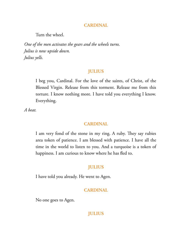### **CARDINAL**

Turn the wheel.

*One of the men activates the gears and the wheels turns. Julius is now upside down. Julius yells.*

## **JULIUS**

I beg you, Cardinal. For the love of the saints, of Christ, of the Blessed Virgin. Release from this torment. Release me from this torture. I know nothing more. I have told you everything I know. Everything.

*A beat.*

#### **CARDINAL**

I am very fond of the stone in my ring. A ruby. They say rubies area token of patience. I am blessed with patience. I have all the time in the world to listen to you. And a turquoise is a token of happiness. I am curious to know where he has fled to.

## **JULIUS**

I have told you already. He went to Agen.

#### **CARDINAL**

No one goes to Agen.

## **JULIUS**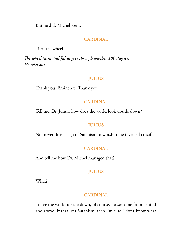But he did. Michel went.

## **CARDINAL**

Turn the wheel.

*e wheel turns and Julius goes through another 180 degrees. He cries out.*

## **JULIUS**

Thank you, Eminence. Thank you.

### **CARDINAL**

Tell me, Dr. Julius, how does the world look upside down?

## **JULIUS**

No, never. It is a sign of Satanism to worship the inverted crucifix.

#### **CARDINAL**

And tell me how Dr. Michel managed that?

## **JULIUS**

What?

#### **CARDINAL**

To see the world upside down, of course. To see time from behind and above. If that isn't Satanism, then I'm sure I don't know what is.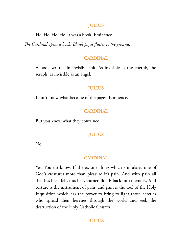#### **JULIUS**

He. He. He. He. It was a book, Eminence.

*e Cardinal opens a book. Blank pages flutter to the ground.*

#### **CARDINAL**

A book written in invisible ink. As invisible as the cherub, the seraph, as invisible as an angel.

#### **JULIUS**

I don't know what become of the pages, Eminence.

#### **CARDINAL**

But you know what they contained.

## **JULIUS**

No.

#### **CARDINAL**

Yes. You do know. If there's one thing which stimulates one of God's creatures more than pleasure it's pain. And with pain all that has been felt, touched, learned floods back into memory. And torture is the instrument of pain, and pain is the tool of the Holy Inquisition which has the power to bring to light those heretics who spread their heresies through the world and seek the destruction of the Holy Catholic Church.

## **JULIUS**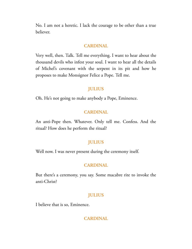No. I am not a heretic. I lack the courage to be other than a true believer.

#### **CARDINAL**

Very well, then. Talk. Tell me everything. I want to hear about the thousand devils who infest your soul. I want to hear all the details of Michel's covenant with the serpent in its pit and how he proposes to make Monsignor Felice a Pope. Tell me.

#### **JULIUS**

Oh. He's not going to make anybody a Pope, Eminence.

#### **CARDINAL**

An anti-Pope then. Whatever. Only tell me. Confess. And the ritual? How does he perform the ritual?

## **JULIUS**

Well now. I was never present during the ceremony itself.

#### **CARDINAL**

But there's a ceremony, you say. Some macabre rite to invoke the anti-Christ?

#### **JULIUS**

I believe that is so, Eminence.

#### **CARDINAL**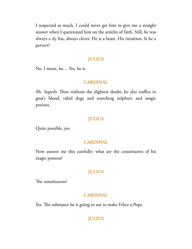I suspected as much. I could never get him to give me a straight answer when I questioned him on the articles of faith. Still, he was always a sly fox, always clever. He is a beast. His intuition. Is he a pervert?

## **JULIUS**

No. I mean, he… Yes, he is.

## **CARDINAL**

Ah. Superb. Then without the slightest doubt, he also traffics in goat's blood, rabid dogs and scorching sulphurs and magic potions.

#### **JULIUS**

Quite possible, yes.

#### **CARDINAL**

Now answer me this carefully: what are the constituents of his magic potions?

## **JULIUS**

The constituents?

#### **CARDINAL**

Yes. The substance he is going to use to make Felice a Pope.

## **JULIUS**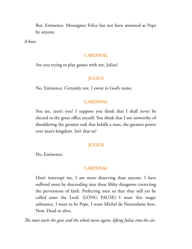But, Eminence. Monsignor Felice has not been anointed as Pope by anyone.

*A beat.*

#### **CARDINAL**

Are you trying to play games with me, Julius?

### **JULIUS**

No, Eminence. Certainly not. I swear in God's name.

#### **CARDINAL**

You are, aren't you? I suppose you think that I shall never be elected to the great office myself. You think that I am unworthy of shouldering the greatest task that befalls a man, the greatest power over man's kingdom. Isn't that so?

## **JULIUS**

No, Eminence.

#### **CARDINAL**

Don't interrupt me. I am more deserving than anyone. I have suffered most by descending into these filthy dungeons correcting the perversions of faith. Perfecting men so that they still yet be called unto the Lord. (LONG PAUSE) I want this magic substance. I want to be Pope. I want Michel de Nostredame here. Now. Dead or alive.

*e man starts the gear and the wheel turns again, lifting Julius into the air.*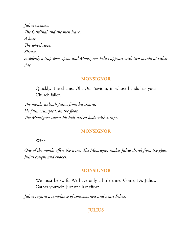*Julius screams. e Cardinal and the men leave. A beat.* The wheel stops. *Silence. Suddenly a trap door opens and Monsignor Felice appears with two monks at either side.*

#### **MONSIGNOR**

Quickly. The chains. Oh, Our Saviour, in whose hands has your Church fallen.

*e monks unleash Julius from his chains. He falls, crumpled, on the floor. e Monsignor covers his half-naked body with a cape.*

## **MONSIGNOR**

Wine.

One of the monks offers the wine. The Monsignor makes Julius drink from the glass. *Julius coughs and chokes.*

#### **MONSIGNOR**

We must be swift. We have only a little time. Come, Dr. Julius. Gather yourself. Just one last effort.

*Julius regains a semblance of consciousness and nears Felice.*

#### **JULIUS**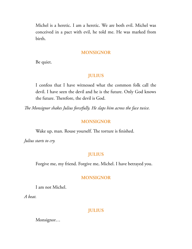Michel is a heretic. I am a heretic. We are both evil. Michel was conceived in a pact with evil, he told me. He was marked from birth.

#### **MONSIGNOR**

Be quiet.

## **JULIUS**

I confess that I have witnessed what the common folk call the devil. I have seen the devil and he is the future. Only God knows the future. Therefore, the devil is God.

*e Monsignor shakes Julius forcefully. He slaps him across the face twice.*

## **MONSIGNOR**

Wake up, man. Rouse yourself. The torture is finished.

*Julius starts to cry.*

## **JULIUS**

Forgive me, my friend. Forgive me, Michel. I have betrayed you.

## **MONSIGNOR**

I am not Michel.

*A beat.*

#### **JULIUS**

Monsignor…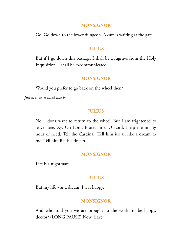#### **MONSIGNOR**

Go. Go down to the lower dungeon. A cart is waiting at the gate.

## **JULIUS**

But if I go down this passage. I shall be a fugitive from the Holy Inquisition. I shall be excommunicated.

#### **MONSIGNOR**

Would you prefer to go back on the wheel then?

*Julius is in a total panic.*

### **JULIUS**

No. I don't want to return to the wheel. But I am frightened to leave here. Ay. Oh Lord. Protect me, O Lord. Help me in my hour of need. Tell the Cardinal. Tell him it's all like a dream to me. Tell him life is a dream.

## **MONSIGNOR**

Life is a nightmare.

## **JULIUS**

But my life was a dream. I was happy.

#### **MONSIGNOR**

And who told you we are brought to the world to be happy, doctor? (LONG PAUSE) Now, leave.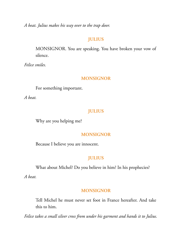*A beat. Julius makes his way over to the trap door.*

## **JULIUS**

MONSIGNOR. You are speaking. You have broken your vow of silence.

*Felice smiles.*

### **MONSIGNOR**

For something important.

*A beat.*

## **JULIUS**

Why are you helping me?

## **MONSIGNOR**

Because I believe you are innocent.

## **JULIUS**

What about Michel? Do you believe in him? In his prophecies?

*A beat.*

#### **MONSIGNOR**

Tell Michel he must never set foot in France hereafter. And take this to him.

*Felice takes a small silver cross from under his garment and hands it to Julius.*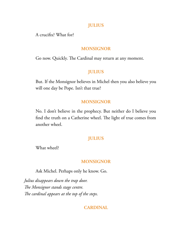#### **JULIUS**

A crucifix? What for?

## **MONSIGNOR**

Go now. Quickly. The Cardinal may return at any moment.

## **JULIUS**

But. If the Monsignor believes in Michel then you also believe you will one day be Pope. Isn't that true?

#### **MONSIGNOR**

No. I don't believe in the prophecy. But neither do I believe you find the truth on a Catherine wheel. The light of true comes from another wheel.

## **JULIUS**

What wheel?

#### **MONSIGNOR**

Ask Michel. Perhaps only he know. Go.

*Julius disappears down the trap door. e Monsignor stands stage centre. e cardinal appears at the top of the steps.*

## **CARDINAL**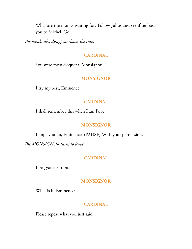What are the monks waiting for? Follow Julius and see if he leads you to Michel. Go.

*e monks also disappear down the trap.*

#### **CARDINAL**

You were most eloquent, Monsignor.

## **MONSIGNOR**

I try my best, Eminence.

#### **CARDINAL**

I shall remember this when I am Pope.

## **MONSIGNOR**

I hope you do, Eminence. (PAUSE) With your permission.

The MONSIGNOR turns to leave.

### **CARDINAL**

I beg your pardon.

#### **MONSIGNOR**

What is it, Eminence?

## **CARDINAL**

Please repeat what you just said.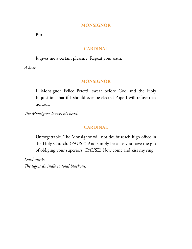#### **MONSIGNOR**

But.

## **CARDINAL**

It gives me a certain pleasure. Repeat your oath.

*A beat.*

## **MONSIGNOR**

I, Monsignor Felice Peretti, swear before God and the Holy Inquisition that if I should ever be elected Pope I will refuse that honour.

*e Monsignor lowers his head.*

## **CARDINAL**

Unforgettable. The Monsignor will not doubt reach high office in the Holy Church. (PAUSE) And simply because you have the gift of obliging your superiors. (PAUSE) Now come and kiss my ring.

*Loud music.* The lights dwindle to total blackout.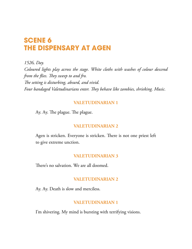# **SCENE 6 THE DISPENSARY AT AGEN**

*1526, Day.*

*Coloured lights play across the stage. White cloths with washes of colour descend from the flies. They sweep to and fro. e setting is disturbing, absurd, and vivid.* Four bandaged Valetudinarians enter. They behave like zombies, shrieking. Music.

## **VALETUDINARIAN 1**

Ay. Ay. The plague. The plague.

## **VALETUDINARIAN 2**

Agen is stricken. Everyone is stricken. There is not one priest left to give extreme unction.

## **VALETUDINARIAN 3**

There's no salvation. We are all doomed.

## **VALETUDINARIAN 2**

Ay. Ay. Death is slow and merciless.

## **VALETUDINARIAN 1**

I'm shivering. My mind is bursting with terrifying visions.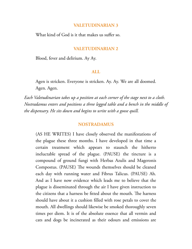#### **VALETUDINARIAN 3**

What kind of God is it that makes us suffer so.

#### **VALETUDINARIAN 2**

Blood, fever and delirium. Ay Ay.

#### **ALL**

Agen is stricken. Everyone is stricken. Ay. Ay. We are all doomed. Agen. Agen.

*Each Valetudinarian takes up a position at each corner of the stage next to a cloth. Nostradamus enters and positions a three legged table and a bench in the middle of the dispensary. He sits down and begins to write with a goose quill.*

#### **NOSTRADAMUS**

(AS HE WRITES) I have closely observed the manifestations of the plague these three months. I have developed in that time a certain treatment which appears to staunch the hitherto ineluctable spread of the plague. (PAUSE) the tincture is a compound of ground fungi with Herbas Azulis and Mageronis Compostus. (PAUSE) The wounds themselves should be cleaned each day with running water and Fibrus Talicus. (PAUSE) Ah. And as I have now evidence which leads me to believe that the plague is disseminated through the air I have given instruction to the citizens that a harness be fitted about the mouth. The harness should have about it a cushion filled with rose petals to cover the mouth. All dwellings should likewise be smoked thoroughly seven times per diem. It is of the absolute essence that all vermin and cats and dogs be incinerated as their odours and emissions are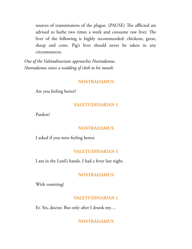sources of transmissions of the plague. (PAUSE) The afflicted are advised to bathe two times a week and consume raw liver. The liver of the following is highly recommended: chickens, geese, sheep and cows. Pig's liver should never be taken in any circumstances.

*One of the Valetudinarians approaches Nostradamus. Nostradamus raises a wadding of cloth to his mouth.*

#### **NOSTRADAMUS**

Are you feeling better?

## **VALETUDINARIAN 1**

Pardon?

#### **NOSTRADAMUS**

I asked if you were feeling better.

#### **VALETUDINARIAN 1**

I am in the Lord's hands. I had a fever last night.

## **NOSTRADAMUS**

With vomiting?

#### **VALETUDINARIAN 1**

Er. Yes, doctor. But only after I drunk my…

#### **NOSTRADAMUS**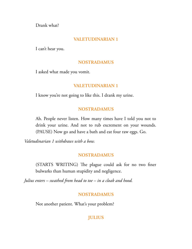Drank what?

## **VALETUDINARIAN 1**

I can't hear you.

## **NOSTRADAMUS**

I asked what made you vomit.

## **VALETUDINARIAN 1**

I know you're not going to like this. I drank my urine.

## **NOSTRADAMUS**

Ah. People never listen. How many times have I told you not to drink your urine. And not to rub excrement on your wounds. (PAUSE) Now go and have a bath and eat four raw eggs. Go.

*Valetudinarian 1 withdraws with a bow.*

#### **NOSTRADAMUS**

(STARTS WRITING) The plague could ask for no two finer bulwarks than human stupidity and negligence.

*Julius enters – swathed from head to toe – in a cloak and hood.*

## **NOSTRADAMUS**

Not another patient. What's your problem?

## **JULIUS**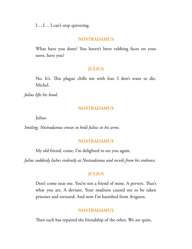I… I… I can't stop quivering.

### **NOSTRADAMUS**

What have you done? You haven't been rubbing faces on your sores, have you?

#### **JULIUS**

No. It's. This plague chills me with fear. I don't want to die, Michel.

*Julius lifts his hood.*

#### **NOSTRADAMUS**

Julius.

*Smiling, Nostradamus crosses to hold Julius in his arms.*

#### **NOSTRADAMUS**

My old friend, come, I'm delighted to see you again.

*Julius suddenly lashes violently at Nostradamus and recoils from his embrace.*

# **JULIUS**

Don't come near me. You're not a friend of mine. A pervert. That's what you are. A deviant. Your madness caused me to be taken prisoner and tortured. And now I'm banished from Avignon.

# **NOSTRADAMUS**

Then each has repaired the friendship of the other. We are quits.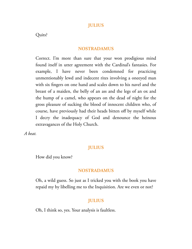# **JULIUS**

Quits?

#### **NOSTRADAMUS**

Correct. I'm more than sure that your won prodigious mind found itself in utter agreement with the Cardinal's fantasies. For example, I have never been condemned for practicing unmentionably lewd and indecent rites involving a oneeyed man with six fingers on one hand and scales down to his navel and the breast of a maiden, the belly of an ass and the legs of an ox and the hump of a camel, who appears on the dead of night for the gross pleasure of sucking the blood of innocent children who, of course, have previously had their heads bitten off by myself while I decry the inadequacy of God and denounce the heinous extravagances of the Holy Church.

*A beat.*

# **JULIUS**

How did you know?

#### **NOSTRADAMUS**

Oh, a wild guess. So just as I tricked you with the book you have repaid my by libelling me to the Inquisition. Are we even or not?

#### **JULIUS**

Oh, I think so, yes. Your analysis is faultless.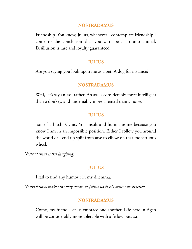Friendship. You know, Julius, whenever I contemplate friendship I come to the conclusion that you can't beat a dumb animal. Disillusion is rare and loyalty guaranteed.

### **JULIUS**

Are you saying you look upon me as a pet. A dog for instance?

# **NOSTRADAMUS**

Well, let's say an ass, rather. An ass is considerably more intelligent than a donkey, and undeniably more talented than a horse.

# **JULIUS**

Son of a bitch. Cynic. You insult and humiliate me because you know I am in an impossible position. Either I follow you around the world or I end up split from arse to elbow on that monstruous wheel.

*Nostradamus starts laughing.*

#### **JULIUS**

I fail to find any humour in my dilemma.

*Nostradamus makes his way across to Julius with his arms outstretched.*

#### **NOSTRADAMUS**

Come, my friend. Let us embrace one another. Life here in Agen will be considerably more tolerable with a fellow outcast.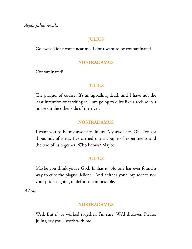*Again Julius recoils.*

# **JULIUS**

Go away. Don't come near me. I don't want to be contaminated.

# **NOSTRADAMUS**

Contaminated?

# **JULIUS**

The plague, of course. It's an appalling death and I have not the least intention of catching it. I am going to olive like a recluse in a house on the other side of the river.

# **NOSTRADAMUS**

I want you to be my associate, Julius. My associate. Oh, I've got thousands of ideas, I've carried out a couple of experiments and the two of us together. Who knows? Maybe.

# **JULIUS**

Maybe you think you're God. Is that it? No one has ever found a way to cure the plague, Michel. And neither your impudence nor your pride is going to defeat the impossible.

*A beat.*

# **NOSTRADAMUS**

Well. But if we worked together, I'm sure. We'd discover. Please, Julius, say you'll work with me.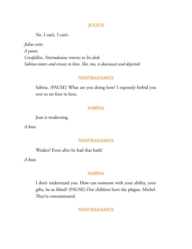# **JULIUS**

No. I can't. I can't.

*Julius exits. A pause. Crestfallen, Nostradamus returns to his desk. Sabina enters and crosses to him. She, too, is downcast and dejected.*

### **NOSTRADAMUS**

Sabina. (PAUSE) What are you doing here? I expressly forbid you ever to set foot in here.

# **SABINA**

Jean is weakening.

*A beat.*

### **NOSTRADAMUS**

Weaker? Even after he had that bath?

*A beat.*

### **SABINA**

I don't understand you. How can someone with your ability, your gifts, be so blind? (PAUSE) Our children have the plague, Michel. They're contaminated.

# **NOSTRADAMUS**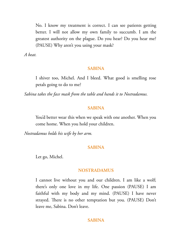No. I know my treatment is correct. I can see patients getting better. I will not allow my own family to succumb. I am the greatest authority on the plague. Do you hear? Do you hear me? (PAUSE) Why aren't you using your mask?

*A beat.*

#### **SABINA**

I shiver too, Michel. And I bleed. What good is smelling rose petals going to do to me?

*Sabina takes the face mask from the table and hands it to Nostradamus.*

#### **SABINA**

You'd better wear this when we speak with one another. When you come home. When you hold your children.

*Nostradamus holds his wife by her arm.*

#### **SABINA**

Let go, Michel.

#### **NOSTRADAMUS**

I cannot live without you and our children. I am like a wolf; there's only one love in my life. One passion (PAUSE) I am faithful with my body and my mind. (PAUSE) I have never strayed. There is no other temptation but you. (PAUSE) Don't leave me, Sabina. Don't leave.

#### **SABINA**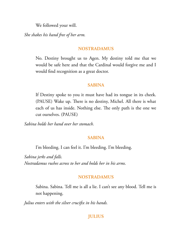We followed your will.

*She shakes his hand free of her arm.*

# **NOSTRADAMUS**

No. Destiny brought us to Agen. My destiny told me that we would be safe here and that the Cardinal would forgive me and I would find recognition as a great doctor.

# **SABINA**

If Destiny spoke to you it must have had its tongue in its cheek. (PAUSE) Wake up. There is no destiny, Michel. All there is what each of us has inside. Nothing else. The only path is the one we cut ourselves. (PAUSE)

*Sabina holds her hand over her stomach.*

# **SABINA**

I'm bleeding. I can feel it. I'm bleeding. I'm bleeding.

*Sabina jerks and falls. Nostradamus rushes across to her and holds her in his arms.*

# **NOSTRADAMUS**

Sabina. Sabina. Tell me is all a lie. I can't see any blood. Tell me is not happening.

*Julius enters with the silver crucifix in his hands.*

# **JULIUS**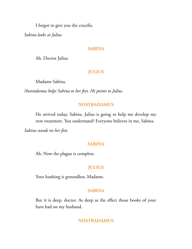I forgot to give you the crucifix.

*Sabina looks at Julius.*

#### **SABINA**

Ah. Doctor Julius.

# **JULIUS**

Madame Sabina.

*Nostradamus helps Sabina to her feet. He points to Julius.*

# **NOSTRADAMUS**

He arrived today, Sabina. Julius is going to help me develop my new treatment. You understand? Everyone believes in me, Sabina.

*Sabina stands on her feet.*

# **SABINA**

Ah. Now the plague is complete.

# **JULIUS**

Your loathing is groundless, Madame.

### **SABINA**

But it is deep, doctor. As deep as the effect those books of your have had on my husband.

#### **NOSTRADAMUS**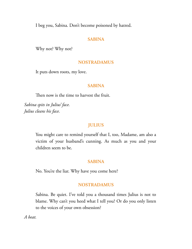I beg you, Sabina. Don't become poisoned by hatred.

### **SABINA**

Why not? Why not?

### **NOSTRADAMUS**

It puts down roots, my love.

#### **SABINA**

Then now is the time to harvest the fruit.

*Sabina spits in Julius' face. Julius cleans his face.*

### **JULIUS**

You might care to remind yourself that I, too, Madame, am also a victim of your husband's cunning. As much as you and your children seem to be.

#### **SABINA**

No. You're the liar. Why have you come here?

#### **NOSTRADAMUS**

Sabina. Be quiet. I've told you a thousand times Julius is not to blame. Why can't you heed what I tell you? Or do you only listen to the voices of your own obsession?

*A beat.*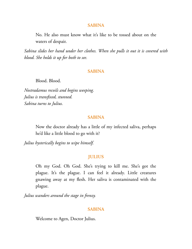#### **SABINA**

No. He also must know what it's like to be tossed about on the waters of despair.

*Sabina slides her hand under her clothes. When she pulls it out it is covered with blood. She holds it up for both to see.*

#### **SABINA**

Blood. Blood.

*Nostradamus recoils and begins weeping. Julius is transfixed, stunned. Sabina turns to Julius.*

#### **SABINA**

Now the doctor already has a little of my infected saliva, perhaps he'd like a little blood to go with it?

*Julius hysterically begins to wipe himself.*

#### **JULIUS**

Oh my God. Oh God. She's trying to kill me. She's got the plague. It's the plague. I can feel it already. Little creatures gnawing away at my flesh. Her saliva is contaminated with the plague.

*Julius wanders around the stage in frenzy.*

#### **SABINA**

Welcome to Agen, Doctor Julius.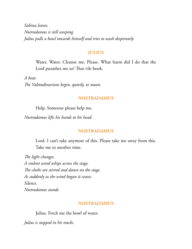*Sabina leaves. Nostradamus is still weeping. Julius pulls a bowl towards himself and tries to wash desperately.*

# **JULIUS**

Water. Water. Cleanse me. Please. What harm did I do that the Lord punishes me so? That vile book.

*A beat. e Valetudinarians begin, quietly, to moan.*

# **NOSTRADAMUS**

Help. Someone please help me.

*Nostradamus lifts his hands to his head.*

# **NOSTRADAMUS**

Lord. I can't take anymore of this. Please take me away from this. Take me to another time.

*e light changes. A violent wind whips across the stage. e cloths are stirred and dance on the stage. As suddenly as the wind began it ceases. Silence. Nostradamus stands.*

# **NOSTRADAMUS**

Julius. Fetch me the bowl of water.

*Julius is stopped in his tracks.*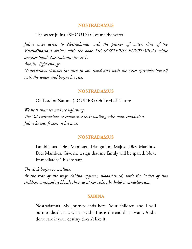The water Julius. (SHOUTS) Give me the water.

*Julius races across to Nostradamus with the pitcher of water. One of the Valetudinarians arrives with the book DE MYSTERIIS EGYPTORUM while another hands Nostradamus his stick. Another light change.*

*Nostradamus clenches his stick in one hand and with the other sprinkles himself with the water and begins his rite.*

#### **NOSTRADAMUS**

Oh Lord of Nature. (LOUDER) Oh Lord of Nature.

*We hear thunder and see lightning.* The Valetudinarians re-commence their wailing with more conviction. *Julius kneels, frozen in his awe.*

#### **NOSTRADAMUS**

Lamblichus. Dies Manibus. Triangulum Majus. Dies Manibus. Dies Manibus. Give me a sign that my family will be spared. Now. Immediately. This instant.

*e stick begins to oscillate.*

*At the rear of the stage Sabina appears, bloodstained, with the bodies of two children wrapped in bloody shrouds at her side. She holds a candelabrum.*

#### **SABINA**

Nostradamus. My journey ends here. Your children and I will burn to death. It is what I wish. This is the end that I want. And I don't care if your destiny doesn't like it.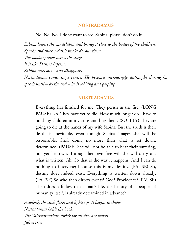No. No. No. I don't want to see. Sabina, please, don't do it.

*Sabina lowers the candelabra and brings it close to the bodies of the children. Sparks and thick reddish smoke devour them.* The smoke spreads across the stage. *It is like Dante's Inferno. Sabina cries out – and disappears. Nostradamus comes stage centre. He becomes increasingly distraught during his speech until – by the end – he is sobbing and gasping.*

#### **NOSTRADAMUS**

Everything has finished for me. They perish in the fire. (LONG PAUSE) No. They have yet to die. How much longer do I have to hold my children in my arms and hug them? (SOFLTY) They are going to die at the hands of my wife Sabina. But the truth is their death is inevitable, even though Sabina images she will be responsible. She's doing no more than what is set down, determined. (PAUSE) She will not be able to bear their suffering, nor yet her own. Through her own free will she will carry out what is written. Ah. So that is the way it happens. And I can do nothing to intervene; because this is my destiny. (PAUSE) So, destiny does indeed exist. Everything is written down already. (PAUSE) So who then directs events? God? Providence? (PAUSE) Then does it follow that a man's life, the history of a people, of humanity itself, is already determined in advance?

*Suddenly the stick flares and lights up. It begins to shake. Nostradamus holds the book. e Valetudinarians shriek for all they are worth. Julius cries.*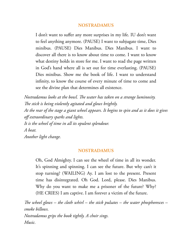I don't want to suffer any more surprises in my life. IU don't want to feel anything anymore. (PAUSE) I want to subjugate time, Dies minibus. (PAUSE) Dies Manibus. Dies Manibus. I want to discover all there is to know about time to come. I want to know what destiny holds in store for me. I want to read the page written in God's hand where all is set out for time everlasting. (PAUSE) Dies minibus. Show me the book of life. I want to understand infinity, to know the course of every minute of time to come and see the divine plan that determines all existence.

*Nostradamus looks at the bowl. The water has taken on a strange luminosity. e stick is being violently agitated and glows brightly. At the rear of the stage a giant wheel appears. It begins to spin and as it does it gives off extraordinary sparks and lights. It is the wheel of time in all its opulent splendour. A beat. Another light change.*

# **NOSTRADAMUS**

Oh, God Almighty. I can see the wheel of time in all its wonder. It's spinning and spinning. I can see the future. But why can't it stop turning? (WAILING) Ay. I am lost to the present. Present time has disintegrated. Oh God. Lord, please. Dies Manibus. Why do you want to make me a prisoner of the future? Why? (HE CRIES) I am captive. I am forever a victim of the future.

*e wheel glows – the cloth whirl – the stick pulsates – the water phosphoresces – smoke billows. Nostradamus grips the book tightly. A choir sings. Music.*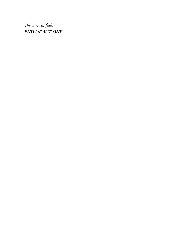The curtain falls. *END OF ACT ONE*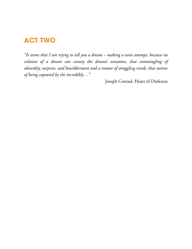# **ACT TWO**

*"It seems that I am trying to tell you a dream – making a vain attempt, because no relation of a dream can convey the dream's sensation, that commingling of absurdity, surprise, and bewilderment and a tremor of struggling revolt, that notion of being captured by the incredibly…"*

Joseph Conrad, Heart of Darkness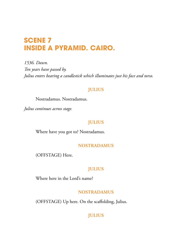# **SCENE 7 INSIDE A PYRAMID. CAIRO.**

*1536. Dawn. Ten years have passed by. Julius enters bearing a candlestick which illuminates just his face and torso.*

# **JULIUS**

Nostradamus. Nostradamus.

*Julius continues across stage.*

# **JULIUS**

Where have you got to? Nostradamus.

# **NOSTRADAMUS**

(OFFSTAGE) Here.

# **JULIUS**

Where here in the Lord's name?

# **NOSTRADAMUS**

(OFFSTAGE) Up here. On the scaffolding, Julius.

# **JULIUS**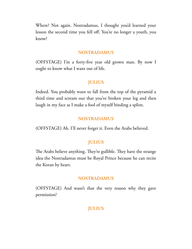Where? Not again. Nostradamus, I thought you'd learned your lesson the second time you fell off. You're no longer a youth, you know?

#### **NOSTRADAMUS**

(OFFSTAGE) I'm a forty-five year old grown man. By now I ought to know what I want out of life.

#### **JULIUS**

Indeed. You probably want to fall from the top of the pyramid a third time and scream out that you've broken your leg and then laugh in my face as I make a fool of myself binding a splint.

#### **NOSTRADAMUS**

(OFFSTAGE) Ah. I'll never forget it. Even the Arabs believed.

### **JULIUS**

The Arabs believe anything. They're gullible. They have the strange idea the Nostradamus must be Royal Prince because he can recite the Koran by heart.

#### **NOSTRADAMUS**

(OFFSTAGE) And wasn't that the very reason why they gave permission?

# **JULIUS**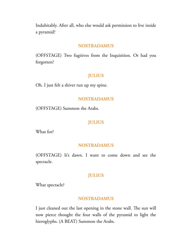Indubitably. After all, who else would ask permission to live inside a pyramid?

#### **NOSTRADAMUS**

(OFFSTAGE) Two fugitives from the Inquisition. Or had you forgotten?

# **JULIUS**

Oh. I just felt a shiver run up my spine.

#### **NOSTRADAMUS**

(OFFSTAGE) Summon the Arabs.

### **JULIUS**

What for?

#### **NOSTRADAMUS**

(OFFSTAGE) It's dawn. I want to come down and see the spectacle.

# **JULIUS**

What spectacle?

### **NOSTRADAMUS**

I just cleaned out the last opening in the stone wall. The sun will now pierce thought the four walls of the pyramid to light the hieroglyphs. (A BEAT) Summon the Arabs.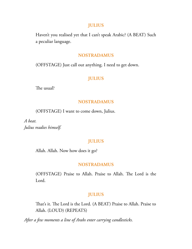#### **JULIUS**

Haven't you realised yet that I can't speak Arabic? (A BEAT) Such a peculiar language.

#### **NOSTRADAMUS**

(OFFSTAGE) Just call out anything. I need to get down.

# **JULIUS**

The usual?

#### **NOSTRADAMUS**

(OFFSTAGE) I want to come down, Julius.

*A beat. Julius readies himself.*

# **JULIUS**

Allah. Allah. Now how does it go?

#### **NOSTRADAMUS**

(OFFSTAGE) Praise to Allah. Praise to Allah. The Lord is the Lord.

# **JULIUS**

That's it. The Lord is the Lord. (A BEAT) Praise to Allah. Praise to Allah. (LOUD) (REPEATS)

*After a few moments a line of Arabs enter carrying candlesticks.*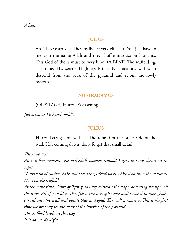*A beat.*

# **JULIUS**

Ah. They've arrived. They really are very efficient. You just have to mention the name Allah and they shuffle into action like ants. This God of theirs must be very kind. (A BEAT) The scaffolding. The rope. His serene Highness Prince Nostradamus wishes to descend from the peak of the pyramid and rejoin the lowly mortals.

### **NOSTRADAMUS**

(OFFSTAGE) Hurry. It's dawning.

*Julius waves his hands wildly.*

# **JULIUS**

Hurry. Let's get on with it. The rope. On the other side of the wall. He's coming down, don't forget that small detail.

*The Arab exit.* 

*After a few moments the makeshift wooden scaffold begins to come down on its ropes.*

*Nostradamus' clothes, hair and face are speckled with white dust from the masonry. He is on the scaffold.*

*At the same time, slants of light gradually crisscross the stage, becoming stronger all the time. All of a sudden, they fall across a rough stone wall covered in hieroglyphs carved onto the wall and paints blue and gold. e wall is massive. is is the first time we properly see the effect of the interior of the pyramid. e scaffold lands on the stage. It is dawn, daylight.*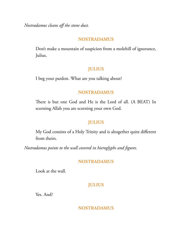*Nostradamus cleans off the stone dust.*

# **NOSTRADAMUS**

Don't make a mountain of suspicion from a molehill of ignorance, Julius.

# **JULIUS**

I beg your pardon. What are you talking about?

# **NOSTRADAMUS**

There is but one God and He is the Lord of all. (A BEAT) In scorning Allah you are scorning your own God.

# **JULIUS**

My God consists of a Holy Trinity and is altogether quite different from theirs.

*Nostradamus points to the wall covered in hieroglyphs and figures.*

# **NOSTRADAMUS**

Look at the wall.

# **JULIUS**

Yes. And?

**NOSTRADAMUS**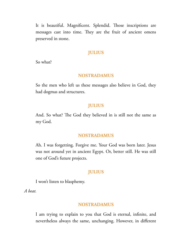It is beautiful. Magnificent. Splendid. Those inscriptions are messages cast into time. They are the fruit of ancient omens preserved in stone.

# **JULIUS**

So what?

#### **NOSTRADAMUS**

So the men who left us these messages also believe in God, they had dogmas and structures.

### **JULIUS**

And. So what? The God they believed in is still not the same as my God.

#### **NOSTRADAMUS**

Ah. I was forgetting. Forgive me. Your God was born later. Jesus was not around yet in ancient Egypt. Or, better still. He was still one of God's future projects.

# **JULIUS**

I won't listen to blasphemy.

*A beat.*

#### **NOSTRADAMUS**

I am trying to explain to you that God is eternal, infinite, and nevertheless always the same, unchanging. However, in different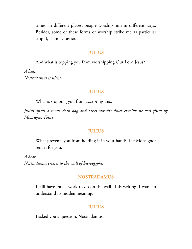times, in different places, people worship him in different ways. Besides, some of these forms of worship strike me as particular stupid, if I may say so.

# **JULIUS**

And what is topping you from worshipping Our Lord Jesus?

*A beat. Nostradamus is silent.*

# **JULIUS**

What is stopping you from accepting this?

*Julius opens a small cloth bag and takes out the silver crucifix he was given by Monsignor Felice.*

# **JULIUS**

What prevents you from holding it in your hand? The Monsignor sent it for you.

*A beat. Nostradamus crosses to the wall of hieroglyphs.*

# **NOSTRADAMUS**

I still have much work to do on the wall. This writing. I want to understand its hidden meaning.

# **JULIUS**

I asked you a question, Nostradamus.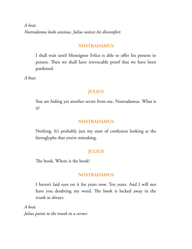*A beat. Nostradamus looks anxious. Julius notices his discomfort.*

#### **NOSTRADAMUS**

I shall wait until Monsignor Felice is able to offer his present in person. Then we shall have irrevocable proof that we have been pardoned.

*A beat.*

# **JULIUS**

You are hiding yet another secret from me, Nostradamus. What is it?

#### **NOSTRADAMUS**

Nothing. It's probably just my state of confusion looking at the hieroglyphs that you're mistaking.

### **JULIUS**

The book. Where is the book?

#### **NOSTRADAMUS**

I haven't laid eyes on it for years now. Ten years. And I will not have you doubting my word. The book is locked away in the trunk as always.

*A beat. Julius points to the trunk in a corner.*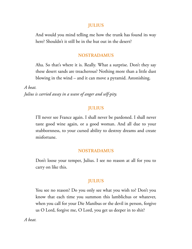### **JULIUS**

And would you mind telling me how the trunk has found its way here? Shouldn't it still be in the hut out in the desert?

### **NOSTRADAMUS**

Aha. So that's where it is. Really. What a surprise. Don't they say these desert sands are treacherous? Nothing more than a little dust blowing in the wind – and it can move a pyramid. Astonishing.

*A beat. Julius is carried away in a wave of anger and self-pity.*

# **JULIUS**

I'll never see France again. I shall never be pardoned. I shall never taste good wine again, or a good woman. And all due to your stubbornness, to your cursed ability to destroy dreams and create misfortune.

# **NOSTRADAMUS**

Don't loose your temper, Julius. I see no reason at all for you to carry on like this.

# **JULIUS**

You see no reason? Do you only see what you wish to? Don't you know that each time you summon this lamblichus or whatever, when you call for your Die Manibus or the devil in person, forgive us O Lord, forgive me, O Lord, you get us deeper in to shit?

*A beat.*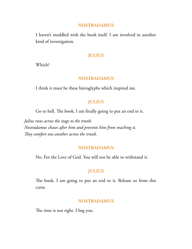I haven't meddled with the book itself. I am involved in another kind of investigation.

# **JULIUS**

Which?

# **NOSTRADAMUS**

I think it must be these hieroglyphs which inspired me.

# **JULIUS**

Go to hell. The book. I am finally going to put an end to it.

*Julius runs across the stage to the trunk. Nostradamus chases after him and prevents him from reaching it.* They comfort one another across the trunk.

# **NOSTRADAMUS**

No. For the Love of God. You will not be able to withstand it.

# **JULIUS**

The book. I am going to put an end to it. Release us from this curse.

# **NOSTRADAMUS**

The time is not right. I beg you.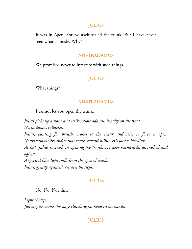### **JULIUS**

It was in Agen. You yourself sealed the trunk. But I have never seen what is inside. Why?

#### **NOSTRADAMUS**

We promised never to interfere with such things.

# **JULIUS**

What things?

#### **NOSTRADAMUS**

I cannot let you open the trunk.

*Julius picks up a stone and strikes Nostradamus heavily on the head. Nostradamus collapses. Julius, panting for breath, crosses to the trunk and tries to force it open. Nostradamus stirs and crawls across toward Julius. His face is bleeding. At last, Julius succeeds in opening the trunk. He steps backwards, astonished and aghast. A spectral blue light spills from the opened trunk. Julius, greatly agitated, retraces his steps.*

#### **JULIUS**

No. No. Not this.

*Light change. Julius spins across the stage clutching his head in his hands.*

# **JULIUS**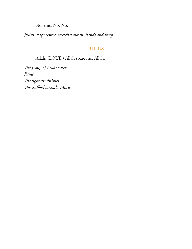Not this. No. No.

*Julius, stage centre, stretches out his hands and weeps.*

# **JULIUS**

Allah. (LOUD) Allah spare me. Allah.

The group of Arabs enter. *Pause. e light diminishes. e scaffold ascends. Music.*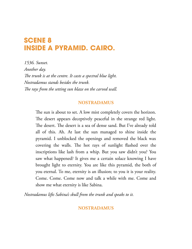# **SCENE 8 INSIDE A PYRAMID. CAIRO.**

*1536. Sunset. Another day. e trunk is at the centre. It casts a spectral blue light. Nostradamus stands besides the trunk. e rays from the setting sun blaze on the carved wall.*

# **NOSTRADAMUS**

The sun is about to set. A low mist completely covers the horizon. The desert appears deceptively peaceful in the strange red light. The desert. The desert is a sea of dense sand. But I've already told all of this. Ah. At last the sun managed to shine inside the pyramid. I unblocked the openings and removed the black wax covering the walls. The hot rays of sunlight flashed over the inscriptions like lash from a whip. But you saw didn't you? You saw what happened? It gives me a certain solace knowing I have brought light to eternity. You are like this pyramid, the both of you eternal. To me, eternity is an illusion; to you it is your reality. Come. Come. Come now and talk a while with me. Come and show me what eternity is like Sabina.

*Nostradamus lifts Sabina's skull from the trunk and speaks to it.*

# **NOSTRADAMUS**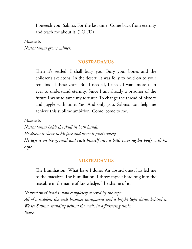I beseech you, Sabina. For the last time. Come back from eternity and teach me about it. (LOUD)

*Moments. Nostradamus grows calmer.*

# **NOSTRADAMUS**

Then it's settled. I shall bury you. Bury your bones and the children's skeletons. In the desert. It was folly to hold on to your remains all these years. But I needed, I need, I want more than ever to understand eternity. Since I am already a prisoner of the future I want to tame my torturer. To change the thread of history and juggle with time. Yes. And only you, Sabina, can help me achieve this sublime ambition. Come, come to me.

*Moments.*

*Nostradamus holds the skull in both hands. He draws it closer to his face and kisses it passionately. He lays it on the ground and curls himself into a ball, covering his body with his cape.*

# **NOSTRADAMUS**

The humiliation. What have I done? An absurd quest has led me to the macabre. The humiliation. I threw myself headlong into the macabre in the name of knowledge. The shame of it.

*Nostradamus' head is now completely covered by the cape. All of a sudden, the wall becomes transparent and a bright light shines behind it. We see Sabina, standing behind the wall, in a fluttering tunic. Pause.*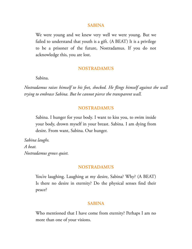#### **SABINA**

We were young and we knew very well we were young. But we failed to understand that youth is a gift. (A BEAT) It is a privilege to be a prisoner of the future, Nostradamus. If you do not acknowledge this, you are lost.

#### **NOSTRADAMUS**

Sabina.

*Nostradamus raises himself to his feet, shocked. He flings himself against the wall trying to embrace Sabina. But he cannot pierce the transparent wall.*

#### **NOSTRADAMUS**

Sabina. I hunger for your body. I want to kiss you, to swim inside your body, drown myself in your breast. Sabina. I am dying from desire. From want, Sabina. Our hunger.

*Sabina laughs. A beat. Nostradamus grows quiet.*

#### **NOSTRADAMUS**

You're laughing. Laughing at my desire, Sabina? Why? (A BEAT) Is there no desire in eternity? Do the physical senses find their peace?

#### **SABINA**

Who mentioned that I have come from eternity? Perhaps I am no more than one of your visions.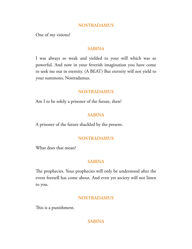One of my visions?

# **SABINA**

I was always so weak and yielded to your will which was so powerful. And now in your feverish imagination you have come to seek me out in eternity. (A BEAT) But eternity will not yield to your summons, Nostradamus.

# **NOSTRADAMUS**

Am I to be solely a prisoner of the future, then?

# **SABINA**

A prisoner of the future shackled by the present.

# **NOSTRADAMUS**

What does that mean?

# **SABINA**

The prophecies. Your prophecies will only be understood after the event foretell has come about. And even yet society will not listen to you.

# **NOSTRADAMUS**

This is a punishment.

# **SABINA**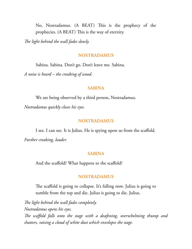No, Nostradamus. (A BEAT) This is the prophecy of the prophecies. (A BEAT) This is the way of eternity.

*e light behind the wall fades slowly.*

#### **NOSTRADAMUS**

Sabina. Sabina. Don't go. Don't leave me. Sabina.

*A noise is heard – the creaking of wood.*

#### **SABINA**

We are being observed by a third person, Nostradamus. *Nostradamus quickly closes his eyes.*

#### **NOSTRADAMUS**

I see. I can see. It is Julius. He is spying upon us from the scaffold. *Further creaking, louder.*

#### **SABINA**

And the scaffold? What happens to the scaffold?

#### **NOSTRADAMUS**

The scaffold is going to collapse. It's falling now. Julius is going to tumble from the top and die. Julius is going to die. Julius.

The light behind the wall fades completely. *Nostradamus opens his eyes. e scaffold falls onto the stage with a deafening, overwhelming thump and shatters, raising a cloud of white dust which envelopes the stage.*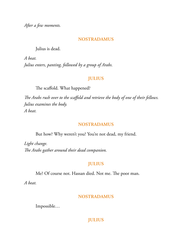*After a few moments.*

# **NOSTRADAMUS**

Julius is dead.

*A beat. Julius enters, panting, followed by a group of Arabs.*

# **JULIUS**

The scaffold. What happened?

*e Arabs rush over to the scaffold and retrieve the body of one of their fellows. Julius examines the body. A beat.*

# **NOSTRADAMUS**

But how? Why weren't you? You're not dead, my friend.

*Light change. e Arabs gather around their dead companion.*

# **JULIUS**

Me? Of course not. Hassan died. Not me. The poor man.

*A beat.*

# **NOSTRADAMUS**

Impossible…

# **JULIUS**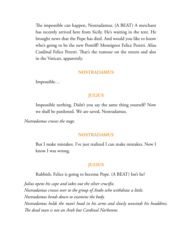The impossible can happen, Nostradamus. (A BEAT) A merchant has recently arrived here from Sicily. He's waiting in the tent. He brought news that the Pope has died. And would you like to know who's going to be the new Pontiff? Monsignor Felice Peretti. Alias Cardinal Felice Peretti. That's the rumour on the streets and also in the Vatican, apparently.

### **NOSTRADAMUS**

Impossible…

# **JULIUS**

Impossible nothing. Didn't you say the same thing yourself? Now we shall be pardoned. We are saved, Nostradamus.

*Nostradamus crosses the stage.*

#### **NOSTRADAMUS**

But I make mistakes. I've just realized I can make mistakes. Now I know I was wrong.

# **JULIUS**

Rubbish. Felice is going to become Pope. (A BEAT) Isn't he?

*Julius opens his cape and takes out the silver crucifix. Nostradamus crosses over to the group of Arabs who withdraw a little. Nostradamus bends down to examine the body. Nostradamus holds the man's head in his arms and slowly unwinds his headdress. e dead man is not an Arab but Cardinal Narbonne.*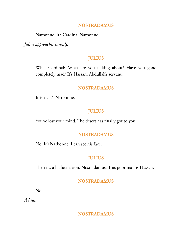## **NOSTRADAMUS**

Narbonne. It's Cardinal Narbonne.

*Julius approaches cannily.*

## **JULIUS**

What Cardinal? What are you talking about? Have you gone completely mad? It's Hassan, Abdullah's servant.

## **NOSTRADAMUS**

It isn't. It's Narbonne.

## **JULIUS**

You've lost your mind. The desert has finally got to you.

# **NOSTRADAMUS**

No. It's Narbonne. I can see his face.

# **JULIUS**

Then it's a hallucination. Nostradamus. This poor man is Hassan.

# **NOSTRADAMUS**

No.

*A beat.*

**NOSTRADAMUS**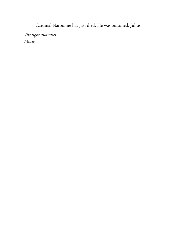Cardinal Narbonne has just died. He was poisoned, Julius.

*e light dwindles. Music.*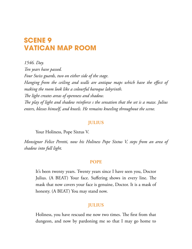# **SCENE 9 VATICAN MAP ROOM**

*1546. Day. Ten years have passed. Four Swiss guards, two on either side of the stage. Hanging from the ceiling and walls are antique maps which have the effect of making the room look like a colourful baroque labyrinth. e light creates areas of openness and shadow. e play of light and shadow reinforce s the sensation that the set is a maze. Julius enters, blesses himself, and kneels. He remains kneeling throughout the scene.*

## **JULIUS**

Your Holiness, Pope Sixtus V.

*Monsignor Felice Peretti, now his Holiness Pope Sixtus V, steps from an area of shadow into full light.*

## **POPE**

It's been twenty years. Twenty years since I have seen you, Doctor Julius. (A BEAT) Your face. Suffering shows in every line. The mask that now covers your face is genuine, Doctor. It is a mask of honesty. (A BEAT) You may stand now.

## **JULIUS**

Holiness, you have rescued me now two times. The first from that dungeon, and now by pardoning me so that I may go home to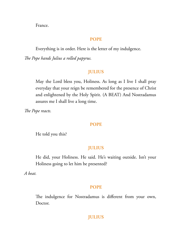France.

## **POPE**

Everything is in order. Here is the letter of my indulgence.

*e Pope hands Julius a rolled papyrus.*

## **JULIUS**

May the Lord bless you, Holiness. As long as I live I shall pray everyday that your reign be remembered for the presence of Christ and enlightened by the Holy Spirit. (A BEAT) And Nostradamus assures me I shall live a long time.

*The Pope reacts.* 

#### **POPE**

He told you this?

## **JULIUS**

He did, your Holiness. He said. He's waiting outside. Isn't your Holiness going to let him be presented?

*A beat.*

## **POPE**

The indulgence for Nostradamus is different from your own, Doctor.

## **JULIUS**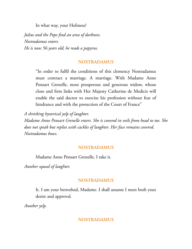In what way, your Holiness?

*Julius and the Pope find an area of darkness. Nostradamus enters. He is now 56 years old; he reads a papyrus.*

# **NOSTRADAMUS**

"In order to fulfil the conditions of this clemency Nostradamus must contract a marriage. A marriage. With Madame Anne Ponsart Grenelle, most prosperous and generous widow, whose close and firm links with Her Majesty Catherine de Medicis will enable the said doctor to exercise his profession without fear of hindrance and with the protection of the Court of France"

*A shrieking hysterical yelp of laughter. Madame Anne Ponsart Grenelle enters. She is covered in veils from head to toe. She does not speak but replies with cackles of laughter. Her face remains covered. Nostradamus bows.*

# **NOSTRADAMUS**

Madame Anne Ponsart Grenelle, I take it.

*Another squeal of laughter.*

# **NOSTRADAMUS**

It. I am your betrothed, Madame. I shall assume I meet both your desire and approval.

*Another yelp.*

# **NOSTRADAMUS**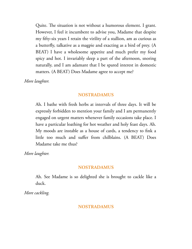Quite. The situation is not without a humorous element. I grant. However, I feel it incumbent to advise you, Madame that despite my fifty-six years I retain the virility of a stallion, am as curious as a butterfly, talkative as a magpie and exacting as a bird of prey. (A BEAT) I have a wholesome appetite and much prefer my food spicy and hot. I invariably sleep a part of the afternoon, snoring naturally, and I am adamant that I be spared interest in domestic matters. (A BEAT) Does Madame agree to accept me?

*More laughter.*

## **NOSTRADAMUS**

Ah. I bathe with fresh herbs at intervals of three days. It will be expressly forbidden to mention your family and I am permanently engaged on urgent matters whenever family occasions take place. I have a particular loathing for hot weather and holy feast days. Ah. My moods are instable as a house of cards, a tendency to fink a little too much and suffer from chilblains. (A BEAT) Does Madame take me thus?

*More laughter.*

## **NOSTRADAMUS**

Ah. See Madame is so delighted she is brought to cackle like a duck.

*More cackling.*

## **NOSTRADAMUS**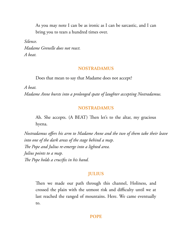As you may note I can be as ironic as I can be sarcastic, and I can bring you to tears a hundred times over.

*Silence. Madame Grenelle does not react.*

*A beat.*

## **NOSTRADAMUS**

Does that mean to say that Madame does not accept?

*A beat.*

*Madame Anne bursts into a prolonged spate of laughter accepting Nostradamus.*

## **NOSTRADAMUS**

Ah. She accepts. (A BEAT) Then let's to the altar, my gracious hyena.

*Nostradamus offers his arm to Madame Anne and the two of them take their leave into one of the dark areas of the stage behind a map. e Pope and Julius re-emerge into a lighted area. Julius points to a map. e Pope holds a crucifix in his hand.*

## **JULIUS**

Then we made our path through this channel, Holiness, and crossed the plain with the utmost risk and difficulty until we at last reached the ranged of mountains. Here. We came eventually to.

## **POPE**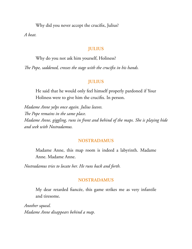Why did you never accept the crucifix, Julius?

*A beat.*

## **JULIUS**

Why do you not ask him yourself, Holiness?

*e Pope, saddened, crosses the stage with the crucifix in his hands.*

## **JULIUS**

He said that he would only feel himself properly pardoned if Your Holiness were to give him the crucifix. In person.

*Madame Anne yelps once again. Julius leaves. e Pope remains in the same place. Madame Anne, giggling, runs in front and behind of the maps. She is playing hide and seek with Nostradamus.*

## **NOSTRADAMUS**

Madame Anne, this map room is indeed a labyrinth. Madame Anne. Madame Anne.

*Nostradamus tries to locate her. He runs back and forth.*

## **NOSTRADAMUS**

My dear retarded fiancée, this game strikes me as very infantile and tiresome.

*Another squeal. Madame Anne disappears behind a map.*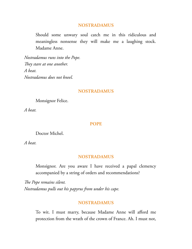## **NOSTRADAMUS**

Should some unwary soul catch me in this ridiculous and meaningless nonsense they will make me a laughing stock. Madame Anne.

*Nostradamus runs into the Pope. They stare at one another. A beat. Nostradamus does not kneel.*

## **NOSTRADAMUS**

Monsignor Felice.

*A beat.*

#### **POPE**

Doctor Michel.

*A beat.*

#### **NOSTRADAMUS**

Monsignor. Are you aware I have received a papal clemency accompanied by a string of orders and recommendations?

*e Pope remains silent. Nostradamus pulls out his papyrus from under his cape.*

## **NOSTRADAMUS**

To wit. I must marry, because Madame Anne will afford me protection from the wrath of the crown of France. Ah. I must not,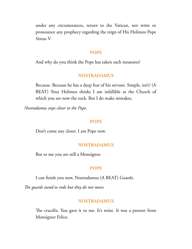under any circumstances, return to the Vatican, nor write or pronounce any prophecy regarding the reign of His Holiness Pope Sixtus V.

#### **POPE**

And why do you think the Pope has taken such measures?

## **NOSTRADAMUS**

Because. Because he has a deep fear of his servant. Simple, isn't? (A BEAT) Your Holiness thinks I am infallible as the Church of which you are now the rock. But I do make mistakes.

*Nostradamus steps closer to the Pope.*

#### **POPE**

Don't come any closer. I am Pope now.

## **NOSTRADAMUS**

But to me you are still a Monsignor.

## **POPE**

I can finish you now, Nostradamus (A BEAT) Guards.

*e guards stand to rode but they do not move.*

## **NOSTRADAMUS**

The crucifix. You gave it to me. It's mine. It was a present from Monsignor Felice.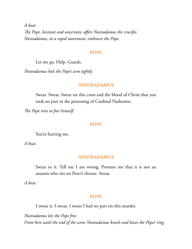*A beat. e Pope, hesitant and uncertain, offers Nostradamus the crucifix. Nostradamus, in a rapid movement, embraces the Pope.*

#### **POPE**

Let me go. Help. Guards.

*Nostradamus hols the Pope's arm tightly.*

## **NOSTRADAMUS**

Swear. Swear. Swear on this cross and the blood of Christ that you took no part in the poisoning of Cardinal Narbonne.

*The Pope tries to free himself.* 

#### **POPE**

You're hurting me.

*A beat.*

## **NOSTRADAMUS**

Swear to it. Tell me I am wrong. Promise me that it is not an assassin who sits on Peter's throne. Swear.

*A beat.*

#### **POPE**

I swear it. I swear. I swear I had no part on this murder.

*Nostradamus lets the Pope free. From here until the end of the scene Nostradamus kneels and kisses the Pope's ring.*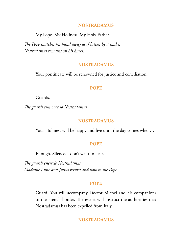## **NOSTRADAMUS**

My Pope. My Holiness. My Holy Father.

*e Pope snatches his hand away as if bitten by a snake. Nostradamus remains on his knees.*

## **NOSTRADAMUS**

Your pontificate will be renowned for justice and conciliation.

## **POPE**

Guards.

*e guards run over to Nostradamus.*

## **NOSTRADAMUS**

Your Holiness will be happy and live until the day comes when…

### **POPE**

Enough. Silence. I don't want to hear.

*The guards encircle Nostradamus. Madame Anne and Julius return and bow to the Pope.*

#### **POPE**

Guard. You will accompany Doctor Michel and his companions to the French border. The escort will instruct the authorities that Nostradamus has been expelled from Italy.

## **NOSTRADAMUS**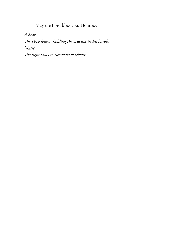May the Lord bless you, Holiness.

*A beat.*

*e Pope leaves, holding the crucifix in his hands. Music. e light fades to complete blackout.*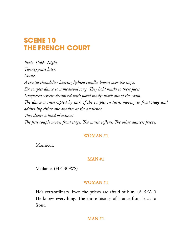# **SCENE 10 THE FRENCH COURT**

*Paris. 1566. Night. Twenty years later. Music. A crystal chandelier bearing lighted candles lowers over the stage.* Six couples dance to a medieval song. They hold masks to their faces. *Lacquered screens decorated with floral motifs mark out of the room. e dance is interrupted by each of the couples in turn, moving to front stage and addressing either one another or the audience.* They dance a kind of minuet. *The first couple moves front stage. The music softens. The other dancers freeze.* 

## **WOMAN #1**

Monsieur.

## **MAN #1**

Madame. (HE BOWS)

## **WOMAN #1**

He's extraordinary. Even the priests are afraid of him. (A BEAT) He knows everything. The entire history of France from back to front.

## **MAN #1**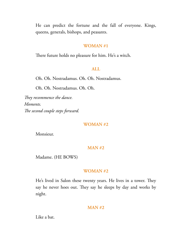He can predict the fortune and the fall of everyone. Kings, queens, generals, bishops, and peasants.

#### **WOMAN #1**

There future holds no pleasure for him. He's a witch.

## **ALL**

Oh. Oh. Nostradamus. Oh. Oh. Nostradamus.

Oh. Oh. Nostradamus. Oh. Oh.

They recommence the dance. *Moments.* The second couple steps forward.

#### **WOMAN #2**

Monsieur.

#### **MAN #2**

Madame. (HE BOWS)

#### **WOMAN #2**

He's lived in Salon these twenty years. He lives in a tower. They say he never hoes out. They say he sleeps by day and works by night.

## **MAN #2**

Like a bat.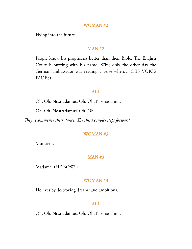#### **WOMAN #2**

Flying into the future.

## **MAN #2**

People know his prophecies better than their Bible. The English Court is buzzing with his name. Why, only the other day the German ambassador was reading a verse when… (HIS VOICE FADES)

#### **ALL**

Oh. Oh. Nostradamus. Oh. Oh. Nostradamus.

Oh. Oh. Nostradamus. Oh. Oh.

They recommence their dance. The third couples steps forward.

#### **WOMAN #3**

Monsieur.

#### **MAN #3**

Madame. (HE BOWS)

## **WOMAN #3**

He lives by destroying dreams and ambitions.

#### **ALL**

Oh. Oh. Nostradamus. Oh. Oh. Nostradamus.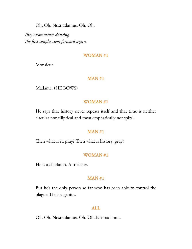Oh. Oh. Nostradamus. Oh. Oh.

They recommence dancing. *e first couples steps forward again.*

## **WOMAN #1**

Monsieur.

## **MAN #1**

Madame. (HE BOWS)

## **WOMAN #1**

He says that history never repeats itself and that time is neither circular nor elliptical and most emphatically not spiral.

## **MAN #1**

Then what is it, pray? Then what is history, pray?

#### **WOMAN #1**

He is a charlatan. A trickster.

#### **MAN #1**

But he's the only person so far who has been able to control the plague. He is a genius.

## **ALL**

Oh. Oh. Nostradamus. Oh. Oh. Nostradamus.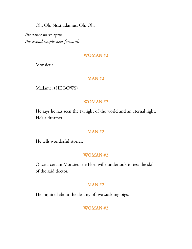Oh. Oh. Nostradamus. Oh. Oh.

The dance starts again. The second couple steps forward.

### **WOMAN #2**

Monsieur.

## **MAN #2**

Madame. (HE BOWS)

## **WOMAN #2**

He says he has seen the twilight of the world and an eternal light. He's a dreamer.

## **MAN #2**

He tells wonderful stories.

## **WOMAN #2**

Once a certain Monsieur de Florinville undertook to test the skills of the said doctor.

## **MAN #2**

He inquired about the destiny of two suckling pigs.

## **WOMAN #2**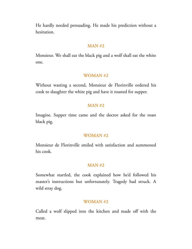He hardly needed persuading. He made his prediction without a hesitation.

#### **MAN #2**

Monsieur. We shall eat the black pig and a wolf shall eat the white one.

## **WOMAN #2**

Without wasting a second, Monsieur de Florinville ordered his cook to slaughter the white pig and have it roasted for supper.

## **MAN #2**

Imagine. Supper time came and the doctor asked for the roast black pig.

#### **WOMAN #2**

Monsieur de Florinville smiled with satisfaction and summoned his cook.

## **MAN #2**

Somewhat startled, the cook explained how he'd followed his master's instructions but unfortunately. Tragedy had struck. A wild stray dog.

#### **WOMAN #2**

Called a wolf slipped into the kitchen and made off with the meat.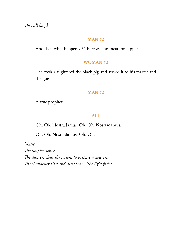They all laugh.

## **MAN #2**

And then what happened? There was no meat for supper.

## **WOMAN #2**

The cook slaughtered the black pig and served it to his master and the guests.

## **MAN #2**

A true prophet.

## **ALL**

Oh. Oh. Nostradamus. Oh. Oh. Nostradamus.

Oh. Oh. Nostradamus. Oh. Oh.

*Music.* The couples dance. The dancers clear the screens to prepare a new set. The chandelier rises and disappears. The light fades.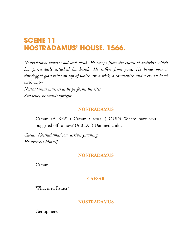# **SCENE 11 NOSTRADAMUS' HOUSE. 1566.**

*Nostradamus appears old and weak. He stoops from the effects of arthritis which has particularly attacked his hands. He suffers from gout. He bends over a threelegged glass table on top of which are a stick, a candlestick and a crystal bowl with water.*

*Nostradamus mutters as he performs his rites. Suddenly, he stands upright.*

## **NOSTRADAMUS**

Caesar. (A BEAT) Caesar. Caesar. (LOUD) Where have you buggered off to now? (A BEAT) Damned child.

*Caesar, Nostradamus' son, arrives yawning. He stretches himself.*

## **NOSTRADAMUS**

Caesar.

## **CAESAR**

What is it, Father?

## **NOSTRADAMUS**

Get up here.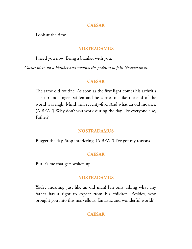## **CAESAR**

Look at the time.

## **NOSTRADAMUS**

I need you now. Bring a blanket with you.

*Caesar picks up a blanket and mounts the podium to join Nostradamus.*

## **CAESAR**

The same old routine. As soon as the first light comes his arthritis acts up and fingers stiffen and he carries on like the end of the world was nigh. Mind, he's seventy-five. And what an old moaner. (A BEAT) Why don't you work during the day like everyone else, Father?

## **NOSTRADAMUS**

Bugger the day. Stop interfering. (A BEAT) I've got my reasons.

## **CAESAR**

But it's me that gets woken up.

## **NOSTRADAMUS**

You're moaning just like an old man! I'm only asking what any father has a right to expect from his children. Besides, who brought you into this marvellous, fantastic and wonderful world?

## **CAESAR**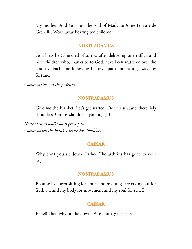My mother! And God rest the soul of Madame Anne Ponsart de Grenelle. Worn away bearing ten children.

### **NOSTRADAMUS**

God bless her! She died of sorrow after delivering one ruffian and nine children who, thanks be to God, have been scattered over the country. Each one following his own path and eating away my fortune.

*Caesar arrives on the podium*

## **NOSTRADAMUS**

Give me the blanket. Let's get started. Don't just stand there! My shoulders! On my shoulders, you bugger!

*Nostradamus walks with great pain. Caesar wraps the blanket across his shoulders.*

## **CAESAR**

Why don't you sit down, Father. The arthritis has gone to your legs.

#### **NOSTRADAMUS**

Because I've been sitting for hours and my lungs are crying out for fresh air, and my body for movement and my soul for relief.

## **CAESAR**

Relief! Then why not lie down? Why not try to sleep?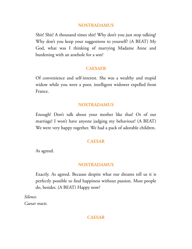## **NOSTRADAMUS**

Shit! Shit! A thousand times shit! Why don't you just stop talking! Why don't you keep your suggestions to yourself? (A BEAT) My God, what was I thinking of marrying Madame Anne and burdening with an arsehole for a son?

## **CAESAER**

Of convenience and self-interest. She was a wealthy and stupid widow while you were a poor, intelligent widower expelled from France.

## **NOSTRADAMUS**

Enough! Don't talk about your mother like that! Or of our marriage! I won't have anyone judging my behaviour! (A BEAT) We were very happy together. We had a pack of adorable children.

## **CAESAR**

As agreed.

## **NOSTRADAMUS**

Exactly. As agreed. Because despite what our dreams tell us it is perfectly possible to find happiness without passion. Most people do, besides. (A BEAT) Happy now?

*Silence. Caesar reacts.*

## **CAESAR**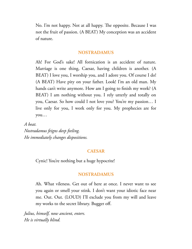No. I'm not happy. Not at all happy. The opposite. Because I was not the fruit of passion. (A BEAT) My conception was an accident of nature.

## **NOSTRADAMUS**

Ah! For God's sake! All fornication is an accident of nature. Marriage is one thing, Caesar, having children is another. (A BEAT) I love you, I worship you, and I adore you. Of course I do! (A BEAT) Have pity on your father. Look! I'm an old man. My hands can't write anymore. How am I going to finish my work? (A BEAT) I am nothing without you. I rely utterly and totally on you, Caesar. So how could I not love you? You're my passion… I live only for you, I work only for you. My prophecies are for you…

*A beat.*

*Nostradamus feigns deep feeling. He immediately changes dispositions.*

## **CAESAR**

Cynic! You're nothing but a huge hypocrite!

## **NOSTRADAMUS**

Ah. What vileness. Get out of here at once. I never want to see you again or smell your stink. I don't want your idiotic face near me. Out. Out. (LOUD) I'll exclude you from my will and leave my works to the secret library. Bugger off.

*Julius, himself, now ancient, enters. He is virtually blind.*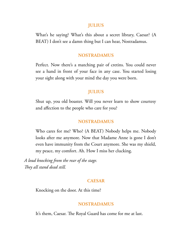### **JULIUS**

What's he saying? What's this about a secret library, Caesar? (A BEAT) I don't see a damn thing but I can hear, Nostradamus.

## **NOSTRADAMUS**

Perfect. Now there's a matching pair of cretins. You could never see a hand in front of your face in any case. You started losing your sight along with your mind the day you were born.

## **JULIUS**

Shut up, you old boaster. Will you never learn to show courtesy and affection to the people who care for you?

## **NOSTRADAMUS**

Who cares for me? Who? (A BEAT) Nobody helps me. Nobody looks after me anymore. Now that Madame Anne is gone I don't even have immunity from the Court anymore. She was my shield, my peace, my comfort. Ah. How I miss her clucking.

*A loud knocking from the rear of the stage. ey all stand dead still.*

## **CAESAR**

Knocking on the door. At this time?

## **NOSTRADAMUS**

It's them, Caesar. The Royal Guard has come for me at last.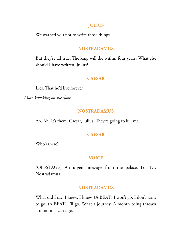## **JULIUS**

We warned you not to write those things.

## **NOSTRADAMUS**

But they're all true. The king will die within four years. What else should I have written, Julius?

## **CAESAR**

Lies. That he'd live forever.

*More knocking on the door.*

## **NOSTRADAMUS**

Ah. Ah. It's them. Caesar, Julius. They're going to kill me.

## **CAESAR**

Who's there?

#### **VOICE**

(OFFSTAGE) An urgent message from the palace. For Dr. Nostradamus.

## **NOSTRADAMUS**

What did I say. I knew. I knew. (A BEAT) I won't go. I don't want to go. (A BEAT) I'll go. What a journey. A month being thrown around in a carriage.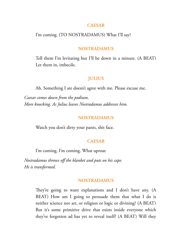#### **CAESAR**

## I'm coming. (TO NOSTRADAMUS) What I'll say?

#### **NOSTRADAMUS**

Tell them I'm levitating but I'll be down in a minute. (A BEAT) Let them in, imbecile.

## **JULIUS**

Ah. Something I ate doesn't agree with me. Please excuse me.

*Caesar comes down from the podium. More knocking. As Julius leaves Nostradamus addresses him.*

#### **NOSTRADAMUS**

Watch you don't dirty your pants, shit face.

#### **CAESAR**

I'm coming. I'm coming. What uproar.

*Nostradamus throws off the blanket and puts on his cape. He is transformed.*

## **NOSTRADAMUS**

They're going to want explanations and I don't have any.  $(A)$ BEAT) How am I going to persuade them that what I do is neither science nor art, or religion or logic or divining? (A BEAT) But it's some primitive drive that exists inside everyone which they've forgotten ad has yet to reveal itself? (A BEAT) Will they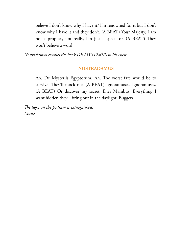believe I don't know why I have it? I'm renowned for it but I don't know why I have it and they don't. (A BEAT) Your Majesty, I am not a prophet, not really, I'm just a spectator. (A BEAT) They won't believe a word.

*Nostradamus crushes the book DE MYSTERIIS to his chest.*

## **NOSTRADAMUS**

Ah. De Mysteriis Egyptorum. Ah. The worst fate would be to survive. They'll mock me. (A BEAT) Ignoramuses. Ignoramuses. (A BEAT) Or discover my secret. Dies Manibus. Everything I want hidden they'll bring out in the daylight. Buggers.

*e light on the podium is extinguished. Music.*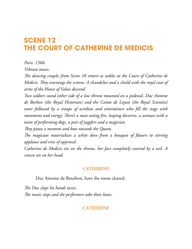# **SCENE 12 THE COURT OF CATHERINE DE MEDICIS**

*Paris. 1566.*

*Vibrant music.*

*e dancing couples from Scene 10 return as nobles at the Court of Catherine de Medicis. They rearrange the screens. A chandelier and a shield with the royal coat of arms of the House of Valois descend.*

*Two soldiers stand either side of a low throne mounted on a pedestal. Duc Antoine de Borbon (the Royal Historian) and the Comte de Lepan (the Royal Scientist) enter followed by a troupe of acrobats and entertainers who fill the stage with movement and energy. There's a man eating fire, leaping dwarves, a woman with a team of performing dogs, a pair of jugglers and a magician.*

*ey pause a moment and bow towards the Queen.*

*e magician materializes a white dove from a bouquet of flowers to stirring applause and cries of approval.*

*Catherine de Medicis sits on the throne, her face completely covered by a veil. A crown sits on her head.*

# **CATHERINE**

Duc Antoine de Bourbon, have the room cleared.

*e Duc claps his hands twice. e music stops and the performers take their leave.*

# **CATHERINE**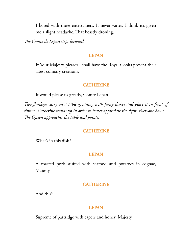I bored with these entertainers. It never varies. I think it's given me a slight headache. That beastly droning.

*e Comte de Lepan steps forward.*

### **LEPAN**

If Your Majesty pleases I shall have the Royal Cooks present their latest culinary creations.

## **CATHERINE**

It would please us greatly, Comte Lepan.

*Two flunkeys carry on a table groaning with fancy dishes and place it in front of throne. Catherine stands up in order to better appreciate the sight. Everyone bows. e Queen approaches the table and points.*

#### **CATHERINE**

What's in this dish?

## **LEPAN**

A roasted pork stuffed with seafood and potatoes in cognac, Majesty.

## **CATHERINE**

And this?

## **LEPAN**

Supreme of partridge with capers and honey, Majesty.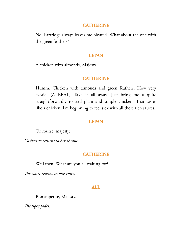#### **CATHERINE**

No. Partridge always leaves me bloated. What about the one with the green feathers?

#### **LEPAN**

A chicken with almonds, Majesty.

## **CATHERINE**

Humm. Chicken with almonds and green feathers. How very exotic. (A BEAT) Take it all away. Just bring me a quite straightforwardly roasted plain and simple chicken. That tastes like a chicken. I'm beginning to feel sick with all these rich sauces.

## **LEPAN**

Of course, majesty.

*Catherine returns to her throne.*

## **CATHERINE**

Well then. What are you all waiting for?

The court rejoins in one voice.

## **ALL**

Bon appetite, Majesty.

*e light fades.*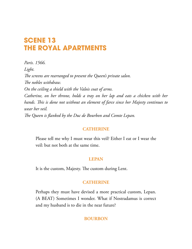# **SCENE 13 THE ROYAL APARTMENTS**

*Paris. 1566. Light.* The screens are rearranged to present the Queen's private salon. *e nobles withdraw. On the ceiling a shield with the Valois coat of arms. Catherine, on her throne, holds a tray on her lap and eats a chicken with her hands. is is done not without an element of farce since her Majesty continues to wear her veil. e Queen is flanked by the Duc de Bourbon and Comte Lepan.*

## **CATHERINE**

Please tell me why I must wear this veil? Either I eat or I wear the veil: but not both at the same time.

## **LEPAN**

It is the custom, Majesty. The custom during Lent.

## **CATHERINE**

Perhaps they must have devised a more practical custom, Lepan. (A BEAT) Sometimes I wonder. What if Nostradamus is correct and my husband is to die in the near future?

# **BOURBON**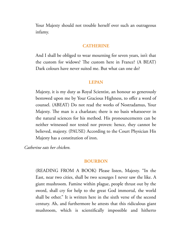Your Majesty should not trouble herself over such an outrageous infamy.

### **CATHERINE**

And I shall be obliged to wear mourning for seven years, isn't that the custom for widows? The custom here in France? (A BEAT) Dark colours have never suited me. But what can one do?

#### **LEPAN**

Majesty, it is my duty as Royal Scientist, an honour so generously bestowed upon me by Your Gracious Highness, to offer a word of counsel. (ABEAT) Do not read the works of Nostradamus, Your Majesty. The man is a charlatan; there is no basis whatsoever in the natural sciences for his method. His pronouncements can be neither witnessed nor tested nor proven: hence, they cannot be believed, majesty. (PAUSE) According to the Court Physician His Majesty has a constitution of iron.

*Catherine eats her chicken.*

#### **BOURBON**

(READING FROM A BOOK) Please listen, Majesty. "In the East, near two cities, shall be two scourges I never saw the like. A giant mushroom. Famine within plague, people thrust out by the sword, shall cry for help to the great God immortal, the world shall be other." It is written here in the sixth verse of the second century. Ah, and furthermore he attests that this ridiculous giant mushroom, which is scientifically impossible and hitherto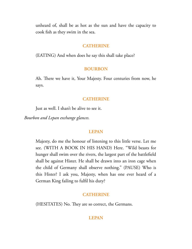unheard of, shall be as hot as the sun and have the capacity to cook fish as they swim in the sea.

#### **CATHERINE**

(EATING) And when does he say this shall take place?

#### **BOURBON**

Ah. There we have it, Your Majesty. Four centuries from now, he says.

## **CATHERINE**

Just as well. I shan't be alive to see it.

*Bourbon and Lepan exchange glances.*

#### **LEPAN**

Majesty, do me the honour of listening to this little verse. Let me see. (WITH A BOOK IN HIS HAND) Here. "Wild beasts for hunger shall swim over the rivers, the largest part of the battlefield shall be against Hister. He shall be drawn into an iron cage when the child of Germany shall observe nothing." (PAUSE) Who is this Hister? I ask you, Majesty, when has one ever heard of a German King failing to fulfil his duty?

## **CATHERINE**

(HESITATES) No. They are so correct, the Germans.

#### **LEPAN**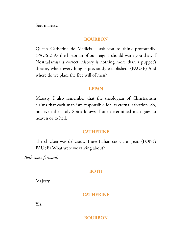See, majesty.

## **BOURBON**

Queen Catherine de Medicis. I ask you to think profoundly. (PAUSE) As the historian of our reign I should warn you that, if Nostradamus is correct, history is nothing more than a puppet's theatre, where everything is previously established. (PAUSE) And where do we place the free will of men?

## **LEPAN**

Majesty, I also remember that the theologian of Christianism claims that each man ism responsible for its eternal salvation. So, not even the Holy Spirit knows if one determined man goes to heaven or to hell.

## **CATHERINE**

The chicken was delicious. These Italian cook are great. (LONG PAUSE) What were we talking about?

*Both come forward.*

## **BOTH**

Majesty.

## **CATHERINE**

Yes.

## **BOURBON**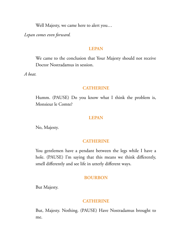Well Majesty, we came here to alert you…

*Lepan comes even forward.*

### **LEPAN**

We came to the conclusion that Your Majesty should not receive Doctor Nostradamus in session.

*A beat.*

#### **CATHERINE**

Humm. (PAUSE) Do you know what I think the problem is, Monsieur le Comte?

### **LEPAN**

No, Majesty.

### **CATHERINE**

You gentlemen have a pendant between the legs while I have a hole. (PAUSE) I'm saying that this means we think differently, smell differently and see life in utterly different ways.

### **BOURBON**

But Majesty.

### **CATHERINE**

But, Majesty. Nothing. (PAUSE) Have Nostradamus brought to me.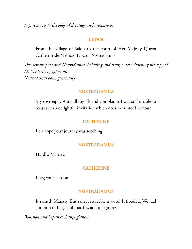*Lepan moves to the edge of the stage and announces.*

### **LEPAN**

From the village of Salon to the court of Her Majesty Queen Catherine de Medicis. Doctor Nostradamus.

*Two screens part and Nostradamus, hobbling and bent, enters clutching his copy of De Mysteriis Egyptorum. Nostradamus bows generously.*

### **NOSTRADAMUS**

My sovereign. With all my ills and complaints I was still unable to resist such a delightful invitation which does me untold honour.

# **CATHERINE**

I do hope your journey was soothing.

### **NOSTRADAMUS**

Hardly, Majesty.

### **CATHERINE**

I beg your pardon.

### **NOSTRADAMUS**

It rained, Majesty. But rain is so feeble a word. It flooded. We had a month of bogs and marshes and quagmires.

*Bourbon and Lepan exchange glances.*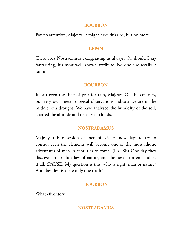### **BOURBON**

Pay no attention, Majesty. It might have drizzled, but no more.

# **LEPAN**

There goes Nostradamus exaggerating as always. Or should I say fantasizing, his most well known attribute. No one else recalls it raining.

# **BOURBON**

It isn't even the time of year for rain, Majesty. On the contrary, our very own meteorological observations indicate we are in the middle of a drought. We have analysed the humidity of the soil, charted the altitude and density of clouds.

# **NOSTRADAMUS**

Majesty, this obsession of men of science nowadays to try to control even the elements will become one of the most idiotic adventures of men in centuries to come. (PAUSE) One day they discover an absolute law of nature, and the next a torrent undoes it all. (PAUSE) My question is this: who is right, man or nature? And, besides, is there only one truth?

# **BOURBON**

What effrontery.

# **NOSTRADAMUS**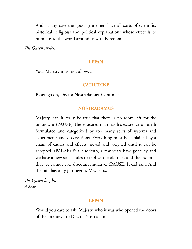And in any case the good gentlemen have all sorts of scientific, historical, religious and political explanations whose effect is to numb us to the world around us with boredom.

*e Queen smiles.*

### **LEPAN**

Your Majesty must not allow...

### **CATHERINE**

Please go on, Doctor Nostradamus. Continue.

#### **NOSTRADAMUS**

Majesty, can it really be true that there is no room left for the unknown? (PAUSE) The educated man has his existence on earth formulated and categorized by too many sorts of systems and experiments and observations. Everything must be explained by a chain of causes and effects, sieved and weighed until it can be accepted. (PAUSE) But, suddenly, a few years have gone by and we have a new set of rules to replace the old ones and the lesson is that we cannot ever discount initiative. (PAUSE) It did rain. And the rain has only just begun, Messieurs.

*e Queen laughs. A beat.*

#### **LEPAN**

Would you care to ask, Majesty, who it was who opened the doors of the unknown to Doctor Nostradamus.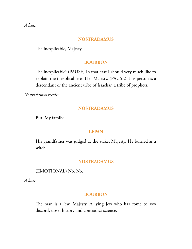*A beat.*

### **NOSTRADAMUS**

The inexplicable, Majesty.

### **BOURBON**

The inexplicable? (PAUSE) In that case I should very much like to explain the inexplicable to Her Majesty. (PAUSE) This person is a descendant of the ancient tribe of Issachar, a tribe of prophets.

*Nostradamus recoils.*

### **NOSTRADAMUS**

But. My family.

### **LEPAN**

His grandfather was judged at the stake, Majesty. He burned as a witch.

### **NOSTRADAMUS**

(EMOTIONAL) No. No.

*A beat.*

### **BOURBON**

The man is a Jew, Majesty. A lying Jew who has come to sow discord, upset history and contradict science.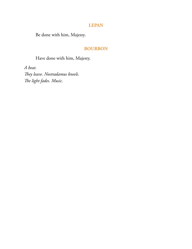### **LEPAN**

Be done with him, Majesty.

### **BOURBON**

Have done with him, Majesty.

*A beat.* They leave. Nostradamus kneels. *e light fades. Music.*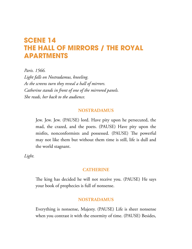# **SCENE 14 THE HALL OF MIRRORS / THE ROYAL APARTMENTS**

*Paris. 1566. Light falls on Nostradamus, kneeling. As the screens turn they reveal a hall of mirrors. Catherine stands in front of one of the mirrored panels. She reads, her back to the audience.*

# **NOSTRADAMUS**

Jew. Jew. Jew. (PAUSE) lord. Have pity upon he persecuted, the mad, the crazed, and the poets. (PAUSE) Have pity upon the misfits, nonconformists and possessed. (PAUSE) The powerful may not like them but without them time is still, life is dull and the world stagnant.

*Light.*

### **CATHERINE**

The king has decided he will not receive you. (PAUSE) He says your book of prophecies is full of nonsense.

### **NOSTRADAMUS**

Everything is nonsense, Majesty. (PAUSE) Life is sheer nonsense when you contrast it with the enormity of time. (PAUSE) Besides,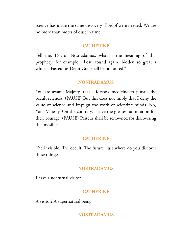science has made the same discovery if proof were needed. We are no more than motes of dust in time.

### **CATHERINE**

Tell me, Doctor Nostradamus, what is the meaning of this prophecy, for example: "Lost, found again, hidden so great a while, a Pasteur as Demi-God shall be honoured."

#### **NOSTRADAMUS**

You are aware, Majesty, that I forsook medicine to pursue the occult sciences. (PAUSE) But this does not imply that I deny the value of science and impugn the work of scientific minds. No, Your Majesty. On the contrary, I have the greatest admiration for their courage. (PAUSE) Pasteur shall be renowned for discovering the invisible.

### **CATHERINE**

The invisible. The occult. The future. Just where do you discover these things?

#### **NOSTRADAMUS**

I have a nocturnal visitor.

### **CATHERINE**

A visitor? A supernatural being.

### **NOSTRADAMUS**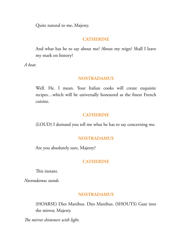Quite natural to me, Majesty.

# **CATHERINE**

And what has he to say about me? About my reign? Shall I leave my mark on history?

*A beat.*

# **NOSTRADAMUS**

Well. He. I mean. Your Italian cooks will create exquisite recipes…which will be universally honoured as the finest French cuisine.

# **CATHERINE**

(LOUD) I demand you tell me what he has to say concerning me.

### **NOSTRADAMUS**

Are you absolutely sure, Majesty?

# **CATHERINE**

This instant.

*Nostradamus stands.*

### **NOSTRADAMUS**

(HOARSE) Dies Manibus. Dies Manibus. (SHOUTS) Gaze into the mirror, Majesty.

*e mirror shimmers with light.*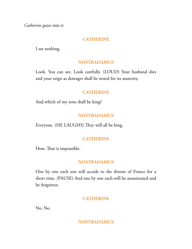*Catherine gazes into it.*

# **CATHERINE**

I see nothing.

# **NOSTRADAMUS**

Look. You can see. Look carefully. (LOUD) Your husband dies and your reign as dowager shall be noted for its austerity.

# **CATHERINE**

And which of my sons shall be king?

# **NOSTRADAMUS**

Everyone. (HE LAUGHS) They will all be king.

# **CATHERINE**

How. That is impossible.

# **NOSTRADAMUS**

One by one each son will accede to the throne of France for a short time. (PAUSE) And one by one each will be assassinated and be forgotten.

# **CATHERINE**

No. No.

# **NOSTRADAMUS**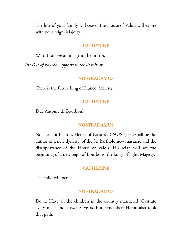The line of your family will cease. The House of Valois will expire with your reign, Majesty.

#### **CATHERINE**

Wait. I can see an image in the mirror.

*e Duc of Bourbon appears in the lit mirror.*

#### **NOSTRADAMUS**

There is the future king of France, Majesty.

#### **CATHERINE**

Duc Antoine de Bourbon?

#### **NOSTRADAMUS**

Not he, but his son, Henry of Navarre. (PAUSE) He shall be the author of a new dynasty, of the St. Bartholomew massacre and the disappearance of the House of Valois. His reign will see the beginning of a new reign of Bourbons, the kings of light, Majesty.

### **CATHERINE**

The child will perish.

#### **NOSTRADAMUS**

Do it. Have all the children in the country massacred. Castrate every male under twenty years. But remember: Herod also took that path.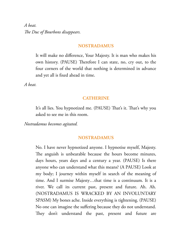*A beat. The Duc of Bourbons disappears.* 

#### **NOSTRADAMUS**

It will make no difference, Your Majesty. It is man who makes his own history. (PAUSE) Therefore I can state, no, cry out, to the four corners of the world that nothing is determined in advance and yet all is fixed ahead in time.

*A beat.*

#### **CATHERINE**

It's all lies. You hypnotized me. (PAUSE) That's it. That's why you asked to see me in this room.

*Nostradamus becomes agitated.*

#### **NOSTRADAMUS**

No. I have never hypnotized anyone. I hypnotise myself, Majesty. The anguish is unbearable because the hours become minutes, days hours, years days and a century a year. (PAUSE) Is there anyone who can understand what this means? (A PAUSE) Look at my body; I journey within myself in search of the meaning of time. And I surmise Majesty…that time is a continuum. It is a river. We call its current past, present and future. Ah. Ah. (NOSTRADAMUS IS WRACKED BY AN INVOLUNTARY SPASM) My bones ache. Inside everything is tightening. (PAUSE) No one can imagine the suffering because they do not understand. They don't understand the past, present and future are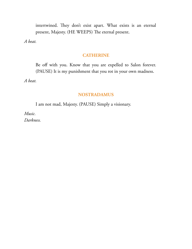intertwined. They don't exist apart. What exists is an eternal present, Majesty. (HE WEEPS) The eternal present.

*A beat.*

## **CATHERINE**

Be off with you. Know that you are expelled to Salon forever. (PAUSE) It is my punishment that you rot in your own madness.

*A beat.*

# **NOSTRADAMUS**

I am not mad, Majesty. (PAUSE) Simply a visionary.

*Music. Darkness.*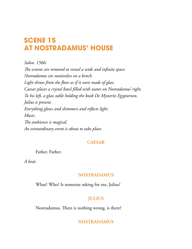# **SCENE 15 AT NOSTRADAMUS' HOUSE**

*Salon. 1566. e screens are removed to reveal a wide and infinite space. Nostradamus sits motionless on a bench. Light shines from the floor as if it were made of glass. Caesar places a crystal bowl filled with water on Nostradamus' right. To his left, a glass table holding the book De Mysteriis Egyptorum. Julius is present. Everything glows and shimmers and reflects light. Music.* The ambience is magical. *An extraordinary event is about to take place.*

### **CAESAR**

Father. Father.

*A beat.*

### **NOSTRADAMUS**

What? Who? Is someone asking for me, Julius?

# **JULIUS**

Nostradamus. There is nothing wrong, is there?

# **NOSTRADAMUS**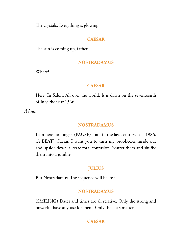The crystals. Everything is glowing.

# **CAESAR**

The sun is coming up, father.

# **NOSTRADAMUS**

Where?

### **CAESAR**

Here. In Salon. All over the world. It is dawn on the seventeenth of July, the year 1566.

*A beat.*

# **NOSTRADAMUS**

I am here no longer. (PAUSE) I am in the last century. It is 1986. (A BEAT) Caesar. I want you to turn my prophecies inside out and upside down. Create total confusion. Scatter them and shuffle them into a jumble.

# **JULIUS**

But Nostradamus. The sequence will be lost.

# **NOSTRADAMUS**

(SMILING) Dates and times are all relative. Only the strong and powerful have any use for them. Only the facts matter.

# **CAESAR**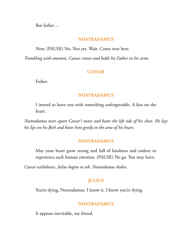But father…

### **NOSTRADAMUS**

Now. (PAUSE) No. Not yet. Wait. Come over here.

*Trembling with emotion, Caesar crosses and holds his Father in his arms.*

# **CAESAR**

Father.

# **NOSTRADAMUS**

I intend to leave you with something unforgettable. A kiss on the heart.

*Nostradamus tears apart Caesar's tunic and bares the left side of his chest. He lays his lips on his flesh and kisses him gently in the area of his heart.*

### **NOSTRADAMUS**

May your heart grow strong and full of kindness and endure to experience each human emotion. (PAUSE) No go. You may leave.

*Caesar withdraws. Julius begins to sob. Nostradamus shakes.*

# **JULIUS**

You're dying, Nostradamus. I know it. I know you're dying.

# **NOSTRADAMUS**

It appears inevitable, my friend.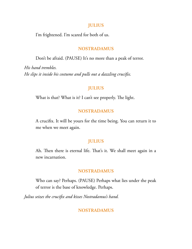### **JULIUS**

I'm frightened. I'm scared for both of us.

### **NOSTRADAMUS**

Don't be afraid. (PAUSE) It's no more than a peak of terror.

*His hand trembles. He slips it inside his costume and pulls out a dazzling crucifix.*

### **JULIUS**

What is that? What is it? I can't see properly. The light.

### **NOSTRADAMUS**

A crucifix. It will be yours for the time being. You can return it to me when we meet again.

### **JULIUS**

Ah. Then there is eternal life. That's it. We shall meet again in a new incarnation.

#### **NOSTRADAMUS**

Who can say? Perhaps. (PAUSE) Perhaps what lies under the peak of terror is the base of knowledge. Perhaps.

*Julius seizes the crucifix and kisses Nostradamus's hand.*

### **NOSTRADAMUS**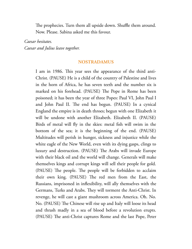The prophecies. Turn them all upside down. Shuffle them around. Now. Please. Sabina asked me this favour.

*Caesar hesitates. Caesar and Julius leave together.*

### **NOSTRADAMUS**

I am in 1986. This year sees the appearance of the third anti-Christ. (PAUSE) He is a child of the country of Palestine and lives in the horn of Africa, he has seven teeth and the number six is marked on his forehead. (PAUSE) The Pope in Rome has been poisoned; it has been the year of three Popes: Paul VI, John Paul I and John Paul II. The end has begun. (PAUSE) In a cynical England the empire is in death throes; begun with one Elizabeth it will be undone with another Elizabeth. Elizabeth II. (PAUSE) Birds of metal will fly in the skies: metal fish will swim in the bottom of the sea; it is the beginning of the end. (PAUSE) Multitudes will perish in hunger, sickness and injustice while the white eagle of the New World, even with its dying gasps, clings to luxury and destruction. (PAUSE) The Arabs will invade Europe with their black oil and the world will change. Generals will make themselves kings and corrupt kings will sell their people for gold. (PAUSE) The people. The people will be forbidden to acclaim their own king. (PAUSE) The red men from the East, the Russians, imprisoned in inflexibility, will ally themselves with the Germans, Turks and Arabs. They will torment the Anti-Christ. In revenge, he will cast a giant mushroom across America. Oh. No. No. (PAUSE) The Chinese will rise up and Italy will loose its head and thrash madly in a sea of blood before a revolution erupts. (PAUSE) The anti-Christ captures Rome and the last Pope, Peter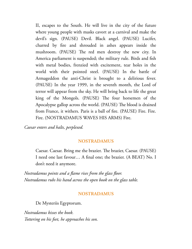II, escapes to the South. He will live in the city of the future where young people with masks cavort at a carnival and make the devil's sign. (PAUSE) Devil. Black angel. (PAUSE) Lucifer, charred by fire and shrouded in ashes appears inside the mushroom. (PAUSE) The red men destroy the new city. In America parliament is suspended; the military rule. Birds and fish with metal bodies, frenzied with excitement, tear holes in the world with their pointed steel. (PAUSE) In the battle of Armageddon the anti-Christ is brought to a delirious fever. (PAUSE) In the year 1999, in the seventh month, the Lord of terror will appear from the sky. He will bring back to life the great king of the Mongols. (PAUSE) The four horsemen of the Apocalypse gallop across the world. (PAUSE) The blood is drained from France, it withers. Paris is a ball of fire. (PAUSE) Fire. Fire. Fire. (NOSTRADAMUS WAVES HIS ARMS) Fire.

*Caesar enters and halts, perplexed.*

### **NOSTRADAMUS**

Caesar. Caesar. Bring me the brazier. The brazier, Caesar. (PAUSE) I need one last favour… A final one; the brazier. (A BEAT) No. I don't need it anymore.

*Nostradamus points and a flame rises from the glass floor. Nostradamus rubs his hand across the open book on the glass table.*

### **NOSTRADAMUS**

De Mysteriis Egyptorum.

*Nostradamus kisses the book. Tottering on his feet, he approaches his son.*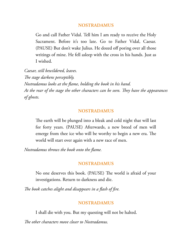### **NOSTRADAMUS**

Go and call Father Vidal. Tell him I am ready to receive the Holy Sacrament. Before it's too late. Go to Father Vidal, Caesar. (PAUSE) But don't wake Julius. He dozed off poring over all those writings of mine. He fell asleep with the cross in his hands. Just as I wished.

*Caesar, still bewildered, leaves.* The stage darkens perceptibly. *Nostradamus looks at the flame, holding the book in his hand. At* the rear of the stage the other characters can be seen. They have the appearances *of ghosts.*

### **NOSTRADAMUS**

The earth will be plunged into a bleak and cold night that will last for forty years. (PAUSE) Afterwards, a new breed of men will emerge from thee ice who will be worthy to begin a new era. The world will start over again with a new race of men.

*Nostradamus throws the book onto the flame.*

### **NOSTRADAMUS**

No one deserves this book. (PAUSE) The world is afraid of your investigations. Return to darkness and die.

*e book catches alight and disappears in a flash of fire.*

### **NOSTRADAMUS**

I shall die with you. But my questing will not be halted.

*The other characters move closer to Nostradamus.*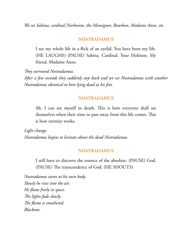*We see Sabina, cardinal Narbonne, the Monsignor, Bourbon, Madame Anne, etc.*

### **NOSTRADAMUS**

I see my whole life in a flick of an eyelid. You have been my life. (HE LAUGHS) (PAUSE) Sabina. Cardinal. Your Holiness. My friend. Madame Anne.

**They surround Nostradamus.** *After a few seconds they suddenly step back and we see Nostradamus with another Nostradamus identical to him lying dead at his feet.*

### **NOSTRADAMUS**

Ah. I can see myself in death. This is how everyone shall see themselves when their time to pass away from this life comes. This is how eternity works.

*Light change. Nostradamus begins to levitate above the dead Nostradamus.*

### **NOSTRADAMUS**

I still have to discover the essence of the absolute. (PAUSE) God. (PAUSE) The transcendence of God. (HE SHOUTS)

*Nostradamus stares at his own body. Slowly he rises into the air. He floats freely in space.* The lights fade slowly. The flame is smothered. *Blackout.*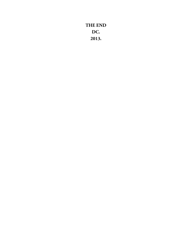**THE END DC. 2013.**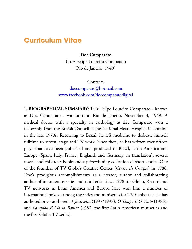# **Curriculum Vitae**

**Doc Comparato**

(Luiz Felipe Loureiro Comparato Rio de Janeiro, 1949)

Contacts:

[doccomparato@hotmail.com](mailto:doccomparato@hotmail.com) [www.facebook.com/doccomparatodigital](http://www.facebook.com/doccomparatodigital)

**I. BIOGRAPHICAL SUMMARY**: Luiz Felipe Loureiro Comparato - known as Doc Comparato - was born in Rio de Janeiro, November 3, 1949. A medical doctor with a specialty in cardiology at 22, Comparato won a fellowship from the British Council at the National Heart Hospital in London in the late 1970s. Returning to Brazil, he left medicine to dedicate himself fulltime to screen, stage and TV work. Since then, he has written over fifteen plays that have been published and produced in Brazil, Latin America and Europe (Spain, Italy, France, England, and Germany, in translation), several novels and children's books and a prizewinning collection of short stories. One of the founders of TV Globo's Creative Center (*Centro de Criação*) in 1986, Doc's prodigious accomplishments as a creator, author and collaborating author of innumerous series and miniseries since 1978 for Globo, Record and TV networks in Latin America and Europe have won him a number of international prizes. Among the series and miniseries for TV Globo that he has authored or co-authored: *A Justiceira* (1997/1998); *O Tempo E O Vento* (1985); and *Lampião E Maria Bonita* (1982, the first Latin American miniseries and the first Globo TV series).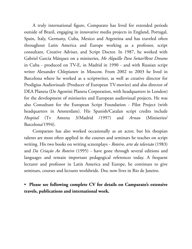A truly international figure, Comparato has lived for extended periods outside of Brazil, engaging in innovative media projects in England, Portugal, Spain, Italy, Germany, Cuba, Mexico and Argentina and has traveled often throughout Latin America and Europe working as a professor, script consultant, Creative Adviser, and Script Doctor. In 1987, he worked with Gabriel García Márquez on a miniseries, *Me Alquillo Para Soñar/Rent Dreams* in Cuba - produced on TV-E, in Madrid in 1990 - and with Russian script writer Alexander Chlepianov in Moscow. From 2002 to 2003 he lived in Barcelona where he worked as a scriptwriter, as well as creative director for Prodigius Audiovisuals (Producer of European TV-movies) and also director of DEA Planeta (De Agostini Planeta Corporation, with headquarters in London) for the development of miniseries and European audiovisual projects. He was also Consultant for the European Script Foundation - Pilot Project (with headquarters in Amsterdam). His Spanish/Catalan script credits include *Hospital* (Tv Antena 3/Madrid /1997) and *Arnau* (Miniseries/ Barcelona/1994).

Comparato has also worked occasionally as an actor, but his thespian talents are most often applied in the courses and seminars he teaches on script writing. His two books on writing screenplays - *Roteiro, arte da televisão* (1983) and *Da Criação Ao Roteiro* (1995) - have gone through several editions and languages and remain important pedagogical references today. A frequent lecturer and professor in Latin America and Europe, he continues to give seminars, courses and lectures worldwide. Doc now lives in Rio de Janeiro.

• **Please see following complete CV for details on Camparato's extensive travels, publications and international work.**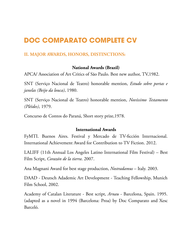# **DOC COMPARATO COMPLETE CV**

# **II. MAJOR AWARDS, HONORS, DISTINCTIONS:**

# **National Awards (Brazil)**

APCA/ Association of Art Critics of São Paulo. Best new author, TV,1982.

SNT (Serviço Nacional de Teatro) honorable mention, *Estudo sobre portas e janelas (Beijo da louca)*, 1980.

SNT (Serviço Nacional de Teatro) honorable mention, *Novíssimo Testamento (Pléides)*, 1979.

Concurso de Contos do Paraná, Short story prize,1978.

# **International Awards**

FyMTI. Buenos Aires. Festival y Mercado de TV-ficción Internacional. International Achievement Award for Contribution to TV Fiction. 2012.

LALIFF (11th Annual Los Angeles Latino International Film Festival) – Best Film Script, *Corazón de la tierra*. 2007.

Ana Magnani Award for best stage production, *Nostradamus* – Italy. 2003.

DAAD - Deutsch Adademic Art Development - Teaching Fellowship, Munich Film School, 2002.

Academy of Catalan Literature - Best script, *Arnau* - Barcelona, Spain. 1995. (adapted as a novel in 1994 (Barcelona: Proa) by Doc Comparato and Xesc Barceló.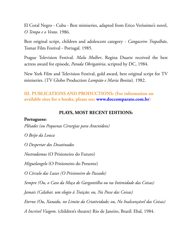El Coral Negro - Cuba - Best miniseries, adapted from Erico Veríssimo's novel, *O Tempo e o Vento*. 1986.

Best original script, children and adolescent category - *Cangaceiro Trapalhão*, Tomar Film Festival - Portugal. 1985.

Prague Television Festival. *Malu Mulher*, Regina Duarte received the best actress award for episode, *Parada Obrigatória*, scripted by DC, 1984.

New York Film and Television Festival, gold award, best original script for TV miniseries. (TV Globo Production *Lampião e Maria Bonita*). 1982.

# **III. PUBLICATIONS AND PRODUCTIONS: (For information on available sites for e-books, please see: [www.doccomparato.com.br\)](http://www.doccomparato.com.br/)**

# **PLAYS, MOST RECENT EDITIONS:**

### **Portuguese:**

*Plêiades (ou Pequenas Cirurgias para Aracnídeos)*

*O Beijo da Louca*

*O Despertar dos Desatinados*

*Nostradamus* (O Prisioneiro do Futuro)

*Miguelangelo* (O Prisioneiro do Presente)

*O Círculo das Luzes (O Prisioneiro do Passado)*

*Sempre (Ou, o Caso da Moça de Gargantilha ou na Intimidade das Coisas)*

*Jamais (Calabar, um elogio à Traição; ou, Na Posse das Coisas)*

*Eterno (Ou, Xanadu, no Limite da Criatividade; ou, No Inalcançável das Coisas)*

*A Incrível Viagem*. (children's theatre) Rio de Janeiro, Brazil: Ebal, 1984.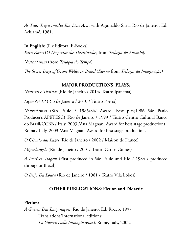*As Tias: Tragicomédia Em Dois Atos*, with Aguinaldo Silva. Rio de Janeiro: Ed. Achiamé, 1981.

**In English:** (Pix Editora, E-Books) *Rain Forest* (*O Despertar dos Desatinados*, from *Trilogia do Amanhã) Nostradamus* (from *Trilogia do Tempo*)

*e Secret Days of Orson Welles in Brazil* (*Eterno* from *Trilogia da Imaginação)*

# **MAJOR PRODUCTIONS, PLAYS:**

*Nadistas e Tudistas* (Rio de Janeiro / 2014/ Teatro Ipanema)

*Lição Nº 18* (Rio de Janeiro / 2010 / Teatro Poeira)

*Nostradamus* (São Paulo / 1985/86/ Award: Best play,1986 São Paulo Producer's APETESC) (Rio de Janeiro / 1999 / Teatro Centro Cultural Banco do Brasil/CCBB / Italy, 2003 /Ana Magnani Award for best stage production) Roma / Italy, 2003 /Ana Magnani Award for best stage production.

*O Círculo das Luzes* (Rio de Janeiro / 2002 / Maison de France)

*Miguelangelo* (Rio de Janeiro / 2001/ Teatro Carlos Gomes)

*A Incrível Viagem* (First produced in São Paulo and Rio / 1984 / produced througout Brazil)

*O Beijo Da Louca* (Rio de Janeiro / 1981 / Teatro Vila Lobos)

# **OTHER PUBLICATIONS: Fiction and Didactic**

### **Fiction:**

*A Guerra Das Imaginações*. Rio de Janeiro: Ed. Rocco, 1997. Translations/International editions: *La Guerra Delle Immaginazioni*. Rome, Italy, 2002.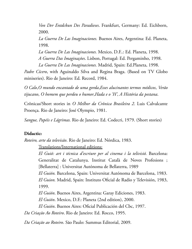*Von Der Entdckun Des Paradieses*. Frankfurt, Germany: Ed. Eichborn, 2000.

*La Guerra De Las Imaginaciones.* Buenos Aires, Argentina: Ed. Planeta, 1998.

*La Guerra De Las Imaginaciones.* Mexico, D.F..: Ed. Planeta, 1998. *A Guerra Das Imaginações*. Lisbon, Portugal: Ed. Pergaminho, 1998. *La Guerra De Las Imaginaciones.* Madrid, Spain: Ed.Planeta, 1998.

*Padre Cícero*, with Aguinaldo Silva and Regina Braga. (Based on TV Globo miniseries). Rio de Janeiro: Ed. Record, 1984.

*O Calo*,*O mundo encantado de uma gorda*,*Esses alucinantes termos médicos*, *Verão tijucano*, *O homem que perdeu o humor*,*Hada e o 'H'*, *A História da pestana*.

Crônicas/Short stories in *O Melhor da Crônica Brasileira 2*. Luis Calvalcante Proença. Rio de Janeiro: José Olympio, 1981.

*Sangue, Papéis e Lágrimas.* Rio de Janeiro: Ed. Codecri, 1979. (Short stories)

### **Didactic:**

*Roteiro, arte da televisão*. Rio de Janeiro: Ed. Nórdica, 1983.

Translations/International editions:

*El Guió: art i técnica d'escriure per al cinema i la telivisió.* Barcelona: Generalitat de Catalunya. Institut Català de Noves Profesions ; [Bellaterra] : Universitat Autónoma de Bellaterra, 1989

*El Guión.* Barcelona, Spain: Universitat Autónoma de Barcelona, 1983. *El Guion.* Madrid, Spain: Instituto Oficial de Radio y Televisión, 1983, 1999.

*El Guión*. Buenos Aires, Argentina: Garay Ediciones, 1983.

*El Guión*. Mexico, D.F.: Planeta (2nd edition), 2000.

*El Guión*. Buenos Aires: Oficial Publicación del Cbc, 1997.

*Da Criação Ao Roteiro*. Rio de Janeiro: Ed. Rocco, 1995.

*Da Criação ao Roteiro*. São Paulo: Summus Editorial, 2009.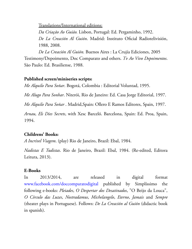Translations/International editions:

*Da Criação Ao Guião.* Lisbon, Portugal: Ed. Pergaminho, 1992. *De La Creación Al Guión*. Madrid: Instituto Oficial Radiotelivisión, 1988, 2008.

*De La Creación Al Guión.* Buenos Aires : La Crujía Ediciones, 2005 Testimony/Depoimento, Doc Comparato and others. *Tv Ao Vivo Depoimentos*. São Paulo: Ed. Brasiliense, 1988.

# **Published screen/miniseries scripts:**

*Me Alquilo Para Soñar*. Bogotá, Colombia : Editorial Voluntad, 1995.

*Me Alugo Para Sonhar*. Niterói, Rio de Janeiro: Ed. Casa Jorge Editorial, 1997.

*Me Alquilo Para Soñar* . Madrid,Spain: Ollero E Ramos Editores, Spain, 1997.

*Arnau, Els Dies Secrets*, with Xesc Barceló. Barcelona, Spain: Ed. Proa, Spain, 1994.

# **Childrens' Books:**

*A Incrível Viagem*. (play) Rio de Janeiro, Brazil: Ebal, 1984.

*Nadistas E Tudistas*. Rio de Janeiro, Brazil: Ebal, 1984. (Re-edited, Editora Leitura, 2013).

# **E-Books**

In 2013/2014, are released in digital format [www.facebook.com/doccomparatodigital](http://www.facebook.com/doccomparatodigital) published by Simplíssimo the following e-books: *Pleiades*, *O Despertar dos Desatinados*, "O Beijo da Louca", *O Círculo das Luzes*, *Nostradamus*, *Michelangelo*, *Eterno*, *Jamais* and *Sempre* (theater plays in Portuguese). Follows: *De La Creación al Guión* (didactic book in spanish).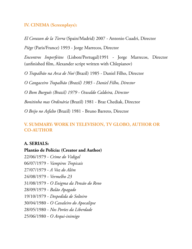# **IV. CINEMA (Screenplays):**

*El Corazon de la Tierra* (Spain/Madrid) 2007 - Antonio Cuadri, Director

*Piège* (Paris/France) 1993 - Jorge Marrecos, Director

*Encontros Imperfeitos* (Lisbon/Portugal)1991 - Jorge Marrecos, Director (unfinished film, Alexander script written with Chlepianov)

*O Trapalhão na Arca de Noé* (Brazil) 1985 - Daniel Filho, Director

*O Cangaceiro Trapalhão (Brazil) 1985 - Daniel Filho, Director*

*O Bom Burguês (Brazil) 1979 - Oswaldo Caldeira, Director*

*Bonitinha mas Ordinária* (Brazil) 1981 - Braz Chediak, Director

*O Beijo no Asfalto* (Brazil) 1981 - Bruno Barreto, Director

# **V. SUMMARY: WORK IN TELEVISION, TV GLOBO, AUTHOR OR CO-AUTHOR**

### **A. SERIALS:**

### **Plantão de Polícia: (Creator and Author)**

22/06/1979 - *Crime do Vidigal* 06/07/1979 - *Vampiros Tropicais* 27/07/1979 - *A Voz do Além* 24/08/1979 - *Vermelho 23* 31/08/1979 - *O Enigma da Pensão do Reno* 28/09/1979 - *Balão Apagado* 19/10/1979 - *Despedida de Solteiro* 30/04/1980 - *O Cavaleiro do Apocalipse* 28/05/1980 - *Nos Porões da Liberdade* 25/06/1980 - *O Arqui-inimigo*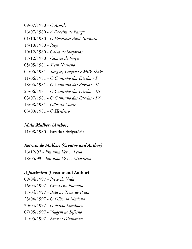09/07/1980 - *O Acordo* 16/07/1980 - *A Doceira de Bangu* 01/10/1980 - *O Venerável Azul Turquesa* 15/10/1980 - *Pega* 10/12/1980 - *Caixa de Surpresas* 17/12/1980 - *Camisa de Força* 05/05/1981 - *Trem Noturno* 04/06/1981 - *Sangue, Calçada e Milk-Shake* 11/06/1981 - *O Caminho das Estrelas - I* 18/06/1981 - *O Caminho das Estrelas - II* 25/06/1981 - *O Caminho das Estrelas - III* 03/07/1981 - *O Caminho das Estrelas - IV* 13/08/1981 - *Olho da Morte* 03/09/1981 - *O Herdeiro*

# *Malu Mulher: (Author)*

11/08/1980 - Parada Obrigatória

# *Retrato de Mulher: (Creator and Author)*

16/12/92 - *Era uma Vez… Leila* 18/05/93 - *Era uma Vez… Madalena*

# *A Justiceira***: (Creator and Author)**

09/04/1997 - *Preço da Vida* 16/04/1997 - *Cinzas no Planalto* 17/04/1997 - *Bala no Trem de Prata* 23/04/1997 - *O Filho da Madona* 30/04/1997 - *O Navio Luminoso* 07/05/1997 - *Viagem ao Inferno* 14/05/1997 - *Eternos Diamantes*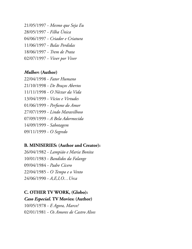21/05/1997 - *Mesmo que Seja Eu* 28/05/1997 - *Filha Única* 04/06/1997 - *Criador e Criatura* 11/06/1997 - *Balas Perdidas* 18/06/1997 - *Trem de Prata* 02/07/1997 - *Viver por Viver*

# *Mulher***: (Author)**

22/04/1998 - *Fator Humano* 21/10/1998 - *De Braços Abertos* 11/11/1998 - *O Néctar da Vida* 13/04/1999 - *Vícios e Virtudes* 01/06/1999 - *Perfume do Amor* 27/07/1999 - *Lindo Maravilhoso* 07/09/1999 - *A Bela Adormecida* 14/09/1999 - *Sabotagem* 09/11/1999 - *O Segredo*

# **B. MINISERIES: (Author and Creator):**

26/04/1982 - *Lampião e Maria Bonita* 10/01/1983 - *Bandidos da Falange* 09/04/1984 - *Padre Cícero* 22/04/1985 - *O Tempo e o Vento* 24/06/1990 - *A,E,I,O…Urca*

# **C. OTHER TV WORK, (Globo):**

*Caso Especial***. TV Movies: (Author)**

10/05/1978 - *E Agora, Marco?* 02/01/1981 - *Os Amores de Castro Alves*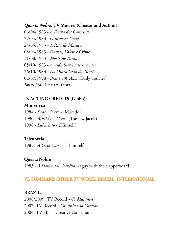# *Quarta Nobre.* **TV Movies: (Creator and Author)**

06/04/1983 - *A Dama das Camélias* 27/04/1983 - *O Inspetor Geral* 25/05/1983 - *A Pata do Macaco* 08/06/1983 - *Damas, Valete e Crime* 31/08/1983 - *Morte no Paraíso* 05/10/1983 - *A Vida Secreta de Berenice* 26/10/1983 - *Do Outro Lado do Túnel* 02/07/1998 - *Brasil 500 Anos* (Daily updates) *Brasil 500 Anos*: (Author)

# **D. ACTING CREDITS (Globo):**

#### **Miniseries:**

1984 - *Padre Cícero* - (Macedo) 1990 *- A,E,I,O... Urca* - (The Jew Jacob) 1998 - *Labarinto* - (Himself)

### **Telenovela**

1985 - *A Gata Comeu* - (Himself)

### **Quarta Nobre**

1983 - *A Dama das Camélias* - (guy with the clapperboard)

# **VI. SUMMARY: OTHER TV WORK, BRAZIL, INTERNATIONAL**

### **BRAZIL**

2008/2009: TV Record - *Os Mutantes* 2007: TV Record - *Caminhos do Coração* 2004: TV SBT - Creative Consultant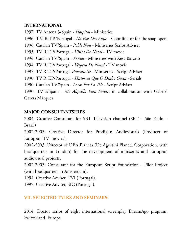# **INTERNATIONAL**

1997: TV Antena 3/Spain - *Hospital* - Miniseries 1996: T.V. R.T.P./Portugal - *Na Paz Dos Anjos* - Coordinator for the soap opera 1996: Catalan TV/Spain - *Poble Nou* - Miniseries Script Adviser 1995: TV R.T.P/Portugal - *Visita De Natal* - TV movie 1994: Catalan TV/Spain - *Arnau* - Miniseries with Xesc Barceló 1994: TV R.T.P/Portugal - *Véspera De Natal* - TV movie 1993: TV R.T.P/Portugal *Procura-Se* - Miniseries - Script Adviser 1990: TV R.T.P/Portugal - *Histórias Que O Diabo Gosta* - Serials 1990: Catalan TV/Spain - *Locos Por La Tele* - Script Adviser 1990: TV-E/Spain - *Me Alquillo Para Soñar*, in collaboration with Gabriel García Márquez

# **MAJOR CONSULTANTSHIPS**

2004: Creative Consultant for SBT Television channel (SBT – São Paulo – Brazil)

2002-2003: Creative Director for Prodigius Audiovisuals (Producer of European TV- movies).

2002-2003: Director of DEA Planeta (De Agostini Planeta Corporation, with headquarters in London) for the development of miniseries and European audiovisual projects.

2002-2003: Consultant for the European Script Foundation - Pilot Project (with headquarters in Amsterdam).

1994: Creative Adviser, TVI (Portugal).

1992: Creative Adviser, SIC (Portugal).

# **VII. SELECTED TALKS AND SEMINARS:**

2014: Doctor script of eight international screenplay DreamAgo program, Switzerland, Europe.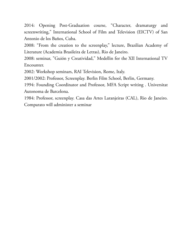2014: Opening Post-Graduation course, "Character, dramaturgy and screenwriting," International School of Film and Television (EICTV) of San Antonio de los Baños, Cuba.

2008: "From the creation to the screenplay," lecture, Brazilian Academy of Literature (Academia Brasileira de Letras), Rio de Janeiro.

2008: seminar, "Guión y Creatividad," Medellin for the XII International TV Encounter.

2002: Workshop seminars, RAI Television, Rome, Italy.

2001/2002: Professor, Screenplay. Berlin Film School, Berlin, Germany.

1994: Founding Coordinator and Professor, MFA Script writing . Universitat Autonoma de Barcelona.

1984: Professor, screenplay. Casa das Artes Laranjeiras (CAL), Rio de Janeiro. Comparato will administer a seminar